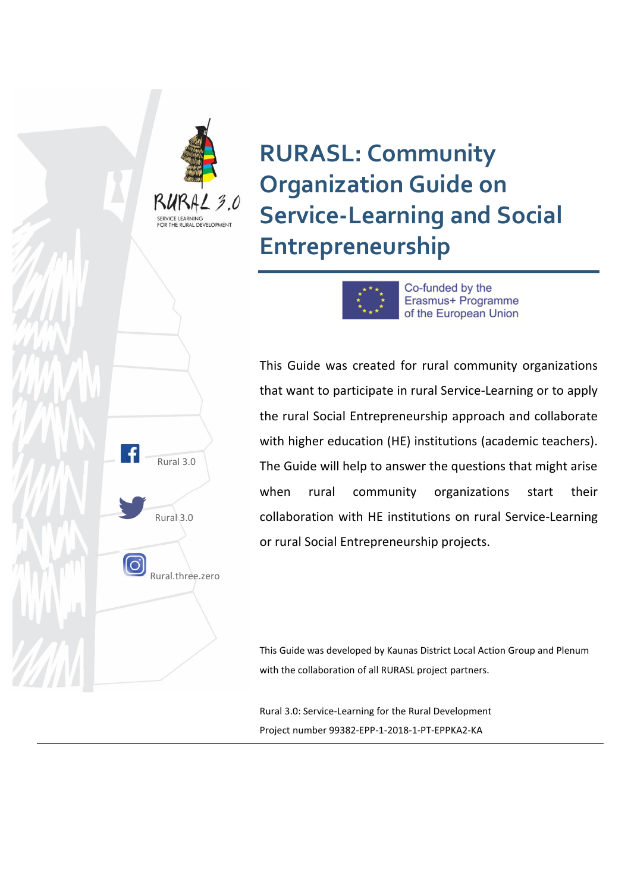

**RURASL: Community Organization Guide on Service-Learning and Social Entrepreneurship**



Erasmus+ Programme of the European Union

This Guide was created for rural community organizations that want to participate in rural Service-Learning or to apply the rural Social Entrepreneurship approach and collaborate with higher education (HE) institutions (academic teachers). The Guide will help to answer the questions that might arise when rural community organizations start their collaboration with HE institutions on rural Service-Learning or rural Social Entrepreneurship projects.

This Guide was developed by Kaunas District Local Action Group and Plenum with the collaboration of all RURASL project partners.

Rural 3.0: Service-Learning for the Rural Development Project number 99382-EPP-1-2018-1-PT-EPPKA2-KA

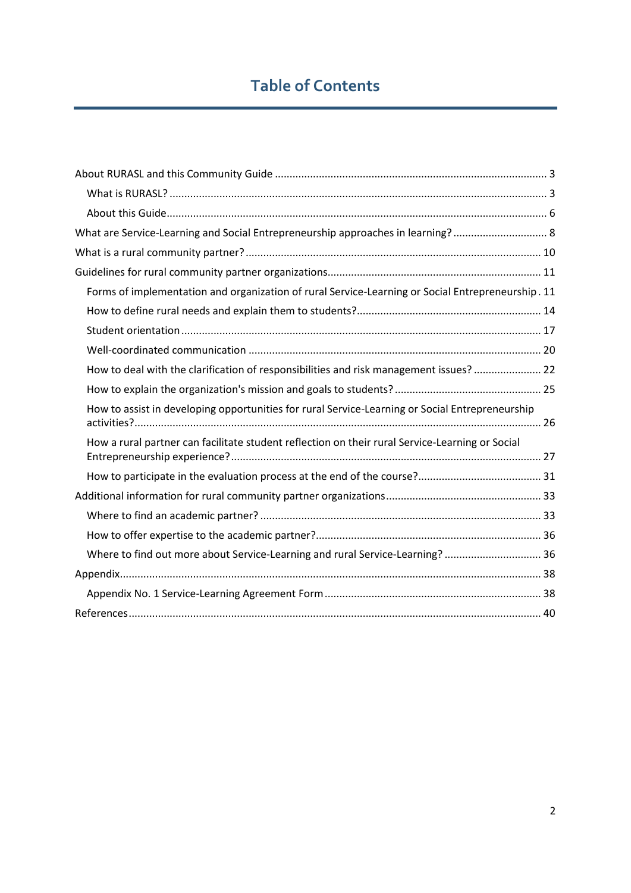# **Table of Contents**

| What are Service-Learning and Social Entrepreneurship approaches in learning? 8                   |
|---------------------------------------------------------------------------------------------------|
|                                                                                                   |
|                                                                                                   |
| Forms of implementation and organization of rural Service-Learning or Social Entrepreneurship. 11 |
|                                                                                                   |
|                                                                                                   |
|                                                                                                   |
| How to deal with the clarification of responsibilities and risk management issues?  22            |
|                                                                                                   |
| How to assist in developing opportunities for rural Service-Learning or Social Entrepreneurship   |
| How a rural partner can facilitate student reflection on their rural Service-Learning or Social   |
|                                                                                                   |
|                                                                                                   |
|                                                                                                   |
|                                                                                                   |
| Where to find out more about Service-Learning and rural Service-Learning?  36                     |
|                                                                                                   |
|                                                                                                   |
|                                                                                                   |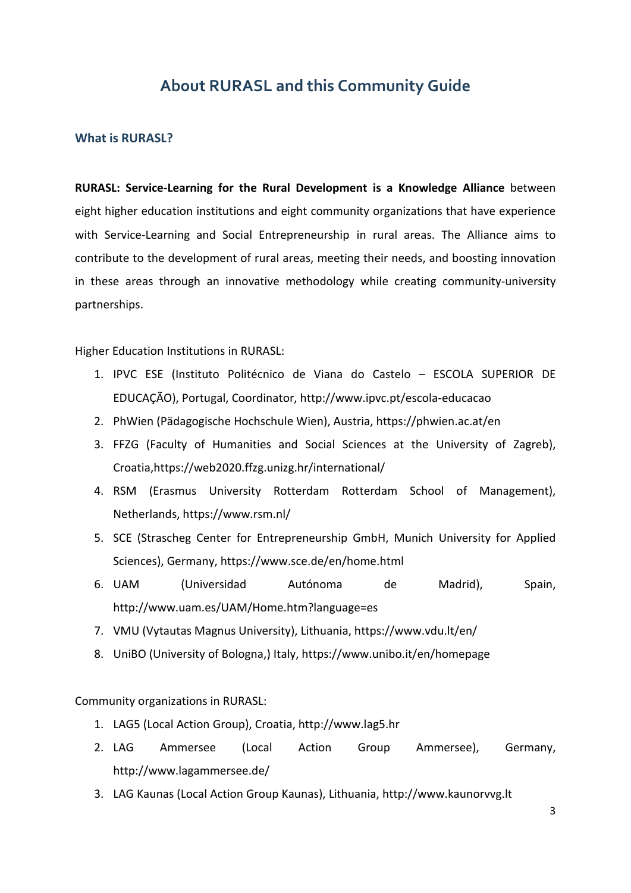### **About RURASL and this Community Guide**

### <span id="page-2-1"></span><span id="page-2-0"></span>**What is RURASL?**

**RURASL: Service-Learning for the Rural Development is a Knowledge Alliance** between eight higher education institutions and eight community organizations that have experience with Service-Learning and Social Entrepreneurship in rural areas. The Alliance aims to contribute to the development of rural areas, meeting their needs, and boosting innovation in these areas through an innovative methodology while creating community-university partnerships.

Higher Education Institutions in RURASL:

- 1. IPVC ESE (Instituto Politécnico de Viana do Castelo ESCOLA SUPERIOR DE EDUCAÇÃO), Portugal, Coordinator, http://www.ipvc.pt/escola-educacao
- 2. PhWien (Pädagogische Hochschule Wien), Austria, https://phwien.ac.at/en
- 3. FFZG (Faculty of Humanities and Social Sciences at the University of Zagreb), Croatia,https://web2020.ffzg.unizg.hr/international/
- 4. RSM (Erasmus University Rotterdam Rotterdam School of Management), Netherlands, https://www.rsm.nl/
- 5. SCE (Strascheg Center for Entrepreneurship GmbH, Munich University for Applied Sciences), Germany, https://www.sce.de/en/home.html
- 6. UAM (Universidad Autónoma de Madrid), Spain, http://www.uam.es/UAM/Home.htm?language=es
- 7. VMU (Vytautas Magnus University), Lithuania, https://www.vdu.lt/en/
- 8. UniBO (University of Bologna,) Italy, https://www.unibo.it/en/homepage

Community organizations in RURASL:

- 1. LAG5 (Local Action Group), Croatia, http://www.lag5.hr
- 2. LAG Ammersee (Local Action Group Ammersee), Germany, http://www.lagammersee.de/
- 3. LAG Kaunas (Local Action Group Kaunas), Lithuania, http://www.kaunorvvg.lt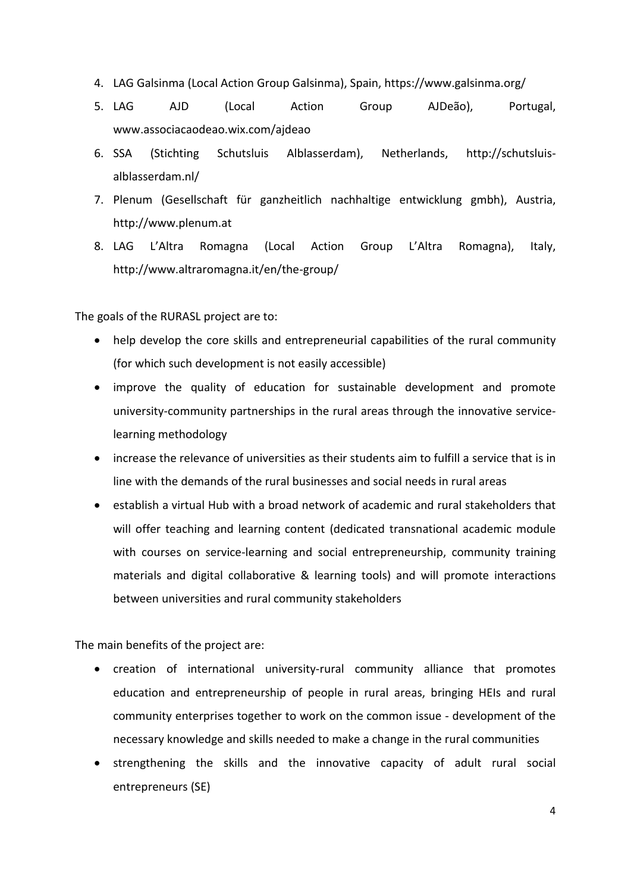- 4. LAG Galsinma (Local Action Group Galsinma), Spain, https://www.galsinma.org/
- 5. LAG AJD (Local Action Group AJDeão), Portugal, www.associacaodeao.wix.com/ajdeao
- 6. SSA (Stichting Schutsluis Alblasserdam), Netherlands, http://schutsluisalblasserdam.nl/
- 7. Plenum (Gesellschaft für ganzheitlich nachhaltige entwicklung gmbh), Austria, http://www.plenum.at
- 8. LAG L'Altra Romagna (Local Action Group L'Altra Romagna), Italy, http://www.altraromagna.it/en/the-group/

The goals of the RURASL project are to:

- help develop the core skills and entrepreneurial capabilities of the rural community (for which such development is not easily accessible)
- improve the quality of education for sustainable development and promote university-community partnerships in the rural areas through the innovative servicelearning methodology
- increase the relevance of universities as their students aim to fulfill a service that is in line with the demands of the rural businesses and social needs in rural areas
- establish a virtual Hub with a broad network of academic and rural stakeholders that will offer teaching and learning content (dedicated transnational academic module with courses on service-learning and social entrepreneurship, community training materials and digital collaborative & learning tools) and will promote interactions between universities and rural community stakeholders

The main benefits of the project are:

- creation of international university-rural community alliance that promotes education and entrepreneurship of people in rural areas, bringing HEIs and rural community enterprises together to work on the common issue - development of the necessary knowledge and skills needed to make a change in the rural communities
- strengthening the skills and the innovative capacity of adult rural social entrepreneurs (SE)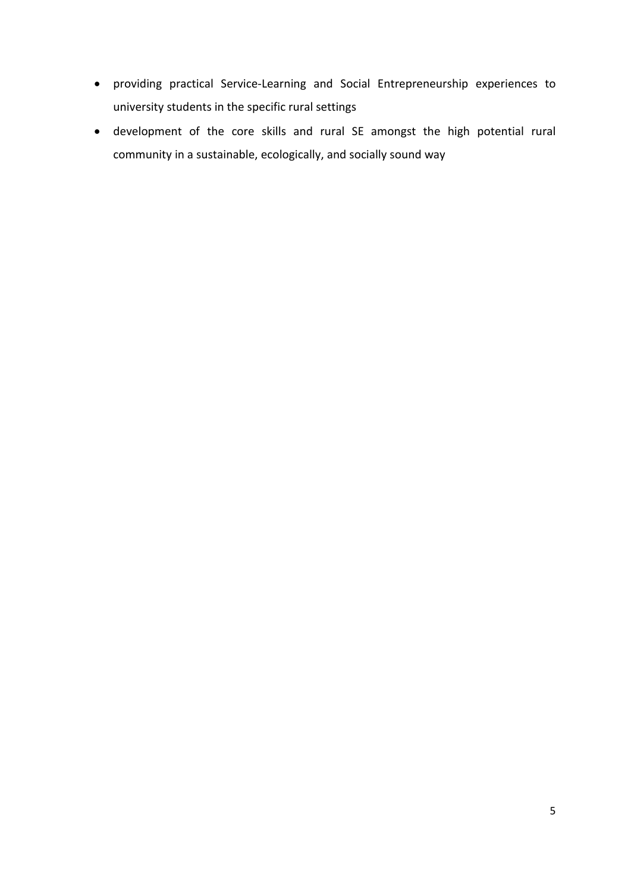- providing practical Service-Learning and Social Entrepreneurship experiences to university students in the specific rural settings
- development of the core skills and rural SE amongst the high potential rural community in a sustainable, ecologically, and socially sound way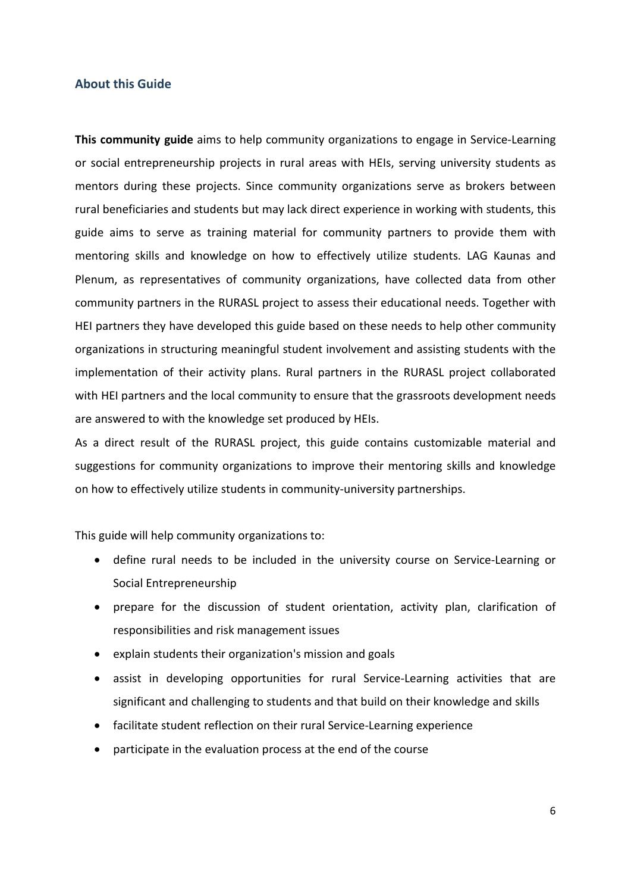#### <span id="page-5-0"></span>**About this Guide**

**This community guide** aims to help community organizations to engage in Service-Learning or social entrepreneurship projects in rural areas with HEIs, serving university students as mentors during these projects. Since community organizations serve as brokers between rural beneficiaries and students but may lack direct experience in working with students, this guide aims to serve as training material for community partners to provide them with mentoring skills and knowledge on how to effectively utilize students. LAG Kaunas and Plenum, as representatives of community organizations, have collected data from other community partners in the RURASL project to assess their educational needs. Together with HEI partners they have developed this guide based on these needs to help other community organizations in structuring meaningful student involvement and assisting students with the implementation of their activity plans. Rural partners in the RURASL project collaborated with HEI partners and the local community to ensure that the grassroots development needs are answered to with the knowledge set produced by HEIs.

As a direct result of the RURASL project, this guide contains customizable material and suggestions for community organizations to improve their mentoring skills and knowledge on how to effectively utilize students in community-university partnerships.

This guide will help community organizations to:

- define rural needs to be included in the university course on Service-Learning or Social Entrepreneurship
- prepare for the discussion of student orientation, activity plan, clarification of responsibilities and risk management issues
- explain students their organization's mission and goals
- assist in developing opportunities for rural Service-Learning activities that are significant and challenging to students and that build on their knowledge and skills
- facilitate student reflection on their rural Service-Learning experience
- participate in the evaluation process at the end of the course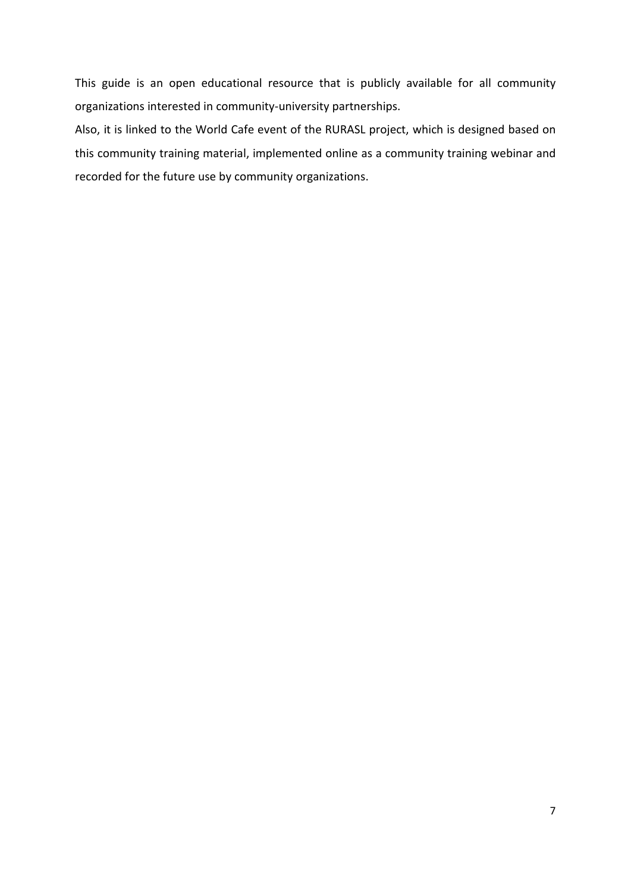This guide is an open educational resource that is publicly available for all community organizations interested in community-university partnerships.

Also, it is linked to the World Cafe event of the RURASL project, which is designed based on this community training material, implemented online as a community training webinar and recorded for the future use by community organizations.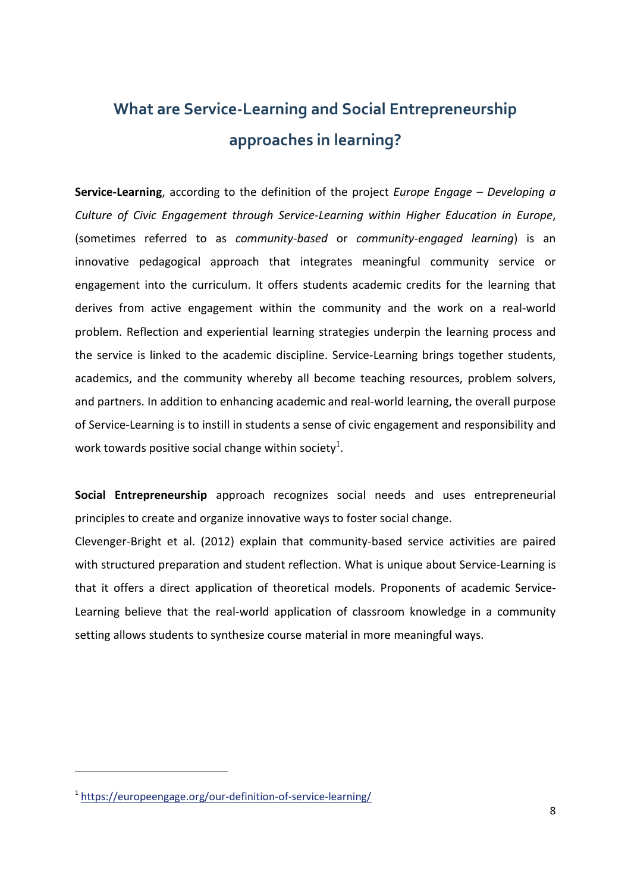# <span id="page-7-0"></span>**What are Service-Learning and Social Entrepreneurship approaches in learning?**

**Service-Learning**, according to the definition of the project *Europe Engage – Developing a Culture of Civic Engagement through Service-Learning within Higher Education in Europe*, (sometimes referred to as *community-based* or *community-engaged learning*) is an innovative pedagogical approach that integrates meaningful community service or engagement into the curriculum. It offers students academic credits for the learning that derives from active engagement within the community and the work on a real-world problem. Reflection and experiential learning strategies underpin the learning process and the service is linked to the academic discipline. Service-Learning brings together students, academics, and the community whereby all become teaching resources, problem solvers, and partners. In addition to enhancing academic and real-world learning, the overall purpose of Service-Learning is to instill in students a sense of civic engagement and responsibility and work towards positive social change within society<sup>1</sup>.

**Social Entrepreneurship** approach recognizes social needs and uses entrepreneurial principles to create and organize innovative ways to foster social change.

Clevenger-Bright et al. (2012) explain that community-based service activities are paired with structured preparation and student reflection. What is unique about Service-Learning is that it offers a direct application of theoretical models. Proponents of academic Service-Learning believe that the real-world application of classroom knowledge in a community setting allows students to synthesize course material in more meaningful ways.

 $\overline{a}$ 

<sup>&</sup>lt;sup>1</sup><https://europeengage.org/our-definition-of-service-learning/>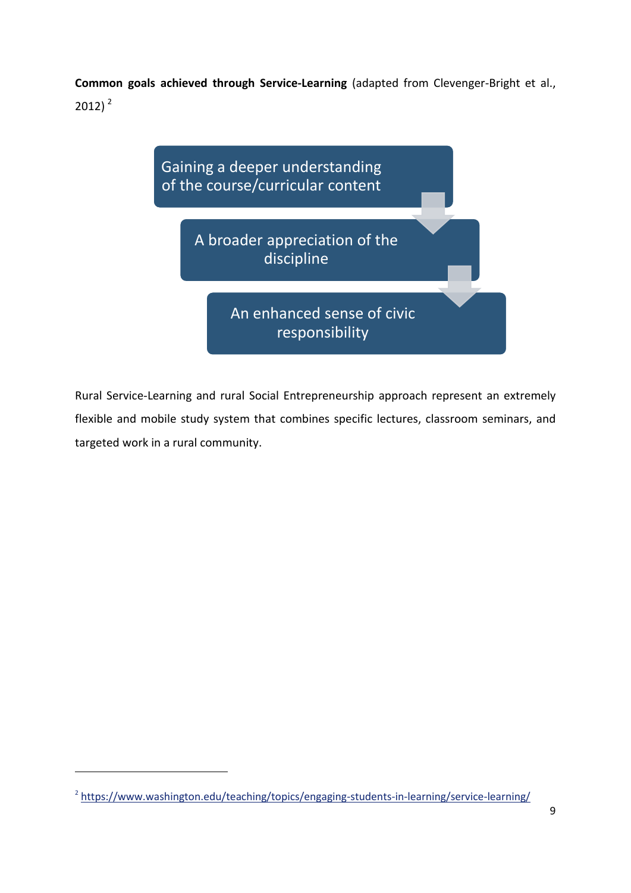**Common goals achieved through Service-Learning** (adapted from Clevenger-Bright et al., 2012) $<sup>2</sup>$ </sup>



Rural Service-Learning and rural Social Entrepreneurship approach represent an extremely flexible and mobile study system that combines specific lectures, classroom seminars, and targeted work in a rural community.

 $\overline{a}$ 

<sup>&</sup>lt;sup>2</sup> <https://www.washington.edu/teaching/topics/engaging-students-in-learning/service-learning/>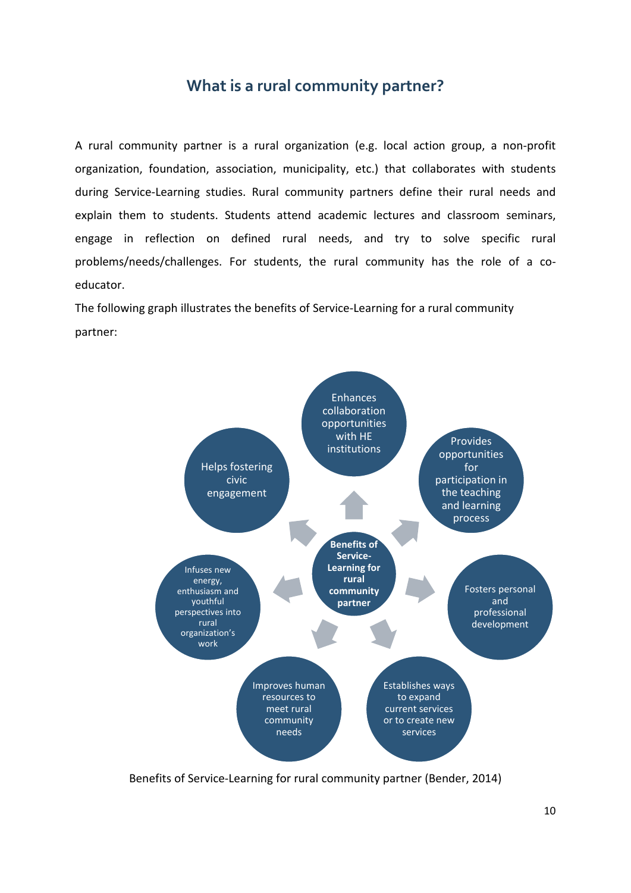### **What is a rural community partner?**

<span id="page-9-0"></span>A rural community partner is a rural organization (e.g. local action group, a non-profit organization, foundation, association, municipality, etc.) that collaborates with students during Service-Learning studies. Rural community partners define their rural needs and explain them to students. Students attend academic lectures and classroom seminars, engage in reflection on defined rural needs, and try to solve specific rural problems/needs/challenges. For students, the rural community has the role of a coeducator.

The following graph illustrates the benefits of Service-Learning for a rural community partner:



Benefits of Service-Learning for rural community partner (Bender, 2014)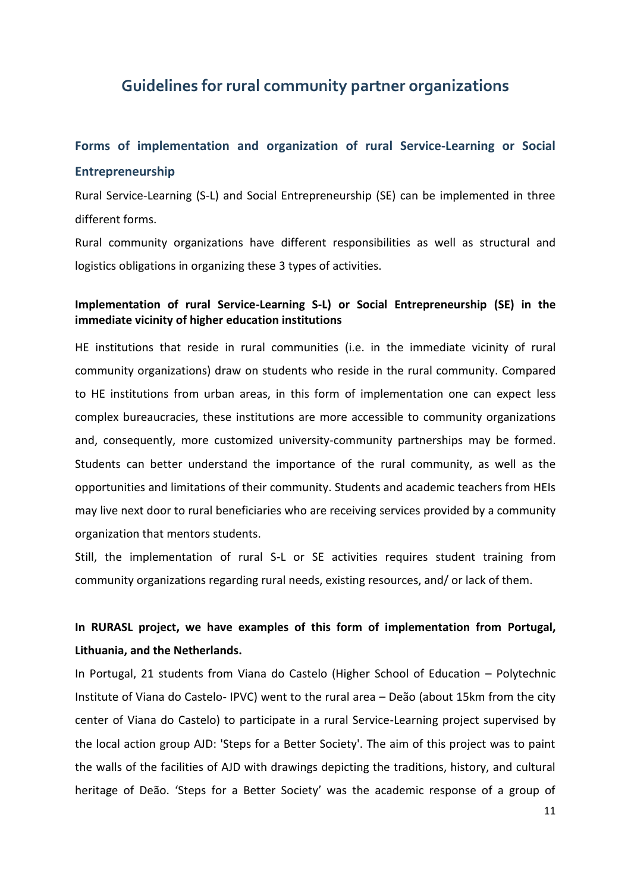### <span id="page-10-0"></span>**Guidelines for rural community partner organizations**

### <span id="page-10-1"></span>**Forms of implementation and organization of rural Service-Learning or Social Entrepreneurship**

Rural Service-Learning (S-L) and Social Entrepreneurship (SE) can be implemented in three different forms.

Rural community organizations have different responsibilities as well as structural and logistics obligations in organizing these 3 types of activities.

### **Implementation of rural Service-Learning S-L) or Social Entrepreneurship (SE) in the immediate vicinity of higher education institutions**

HE institutions that reside in rural communities (i.e. in the immediate vicinity of rural community organizations) draw on students who reside in the rural community. Compared to HE institutions from urban areas, in this form of implementation one can expect less complex bureaucracies, these institutions are more accessible to community organizations and, consequently, more customized university-community partnerships may be formed. Students can better understand the importance of the rural community, as well as the opportunities and limitations of their community. Students and academic teachers from HEIs may live next door to rural beneficiaries who are receiving services provided by a community organization that mentors students.

Still, the implementation of rural S-L or SE activities requires student training from community organizations regarding rural needs, existing resources, and/ or lack of them.

### **In RURASL project, we have examples of this form of implementation from Portugal, Lithuania, and the Netherlands.**

In Portugal, 21 students from Viana do Castelo (Higher School of Education – Polytechnic Institute of Viana do Castelo- IPVC) went to the rural area – Deão (about 15km from the city center of Viana do Castelo) to participate in a rural Service-Learning project supervised by the local action group AJD: 'Steps for a Better Society'. The aim of this project was to paint the walls of the facilities of AJD with drawings depicting the traditions, history, and cultural heritage of Deão. 'Steps for a Better Society' was the academic response of a group of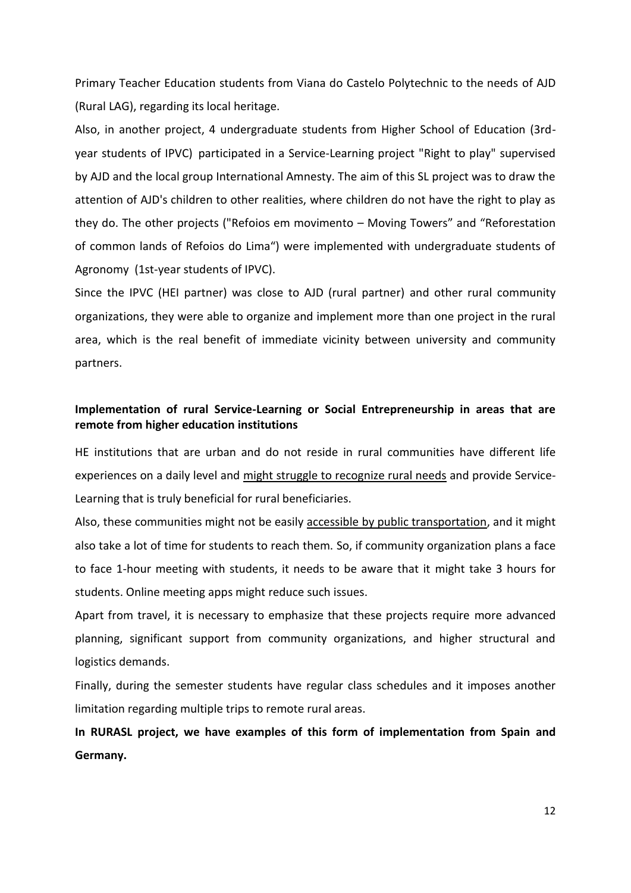Primary Teacher Education students from Viana do Castelo Polytechnic to the needs of AJD (Rural LAG), regarding its local heritage.

Also, in another project, 4 undergraduate students from Higher School of Education (3rdyear students of IPVC) participated in a Service-Learning project "Right to play" supervised by AJD and the local group International Amnesty. The aim of this SL project was to draw the attention of AJD's children to other realities, where children do not have the right to play as they do. The other projects ("Refoios em movimento – Moving Towers" and "Reforestation of common lands of Refoios do Lima") were implemented with undergraduate students of Agronomy (1st-year students of IPVC).

Since the IPVC (HEI partner) was close to AJD (rural partner) and other rural community organizations, they were able to organize and implement more than one project in the rural area, which is the real benefit of immediate vicinity between university and community partners.

### **Implementation of rural Service-Learning or Social Entrepreneurship in areas that are remote from higher education institutions**

HE institutions that are urban and do not reside in rural communities have different life experiences on a daily level and might struggle to recognize rural needs and provide Service-Learning that is truly beneficial for rural beneficiaries.

Also, these communities might not be easily accessible by public transportation, and it might also take a lot of time for students to reach them. So, if community organization plans a face to face 1-hour meeting with students, it needs to be aware that it might take 3 hours for students. Online meeting apps might reduce such issues.

Apart from travel, it is necessary to emphasize that these projects require more advanced planning, significant support from community organizations, and higher structural and logistics demands.

Finally, during the semester students have regular class schedules and it imposes another limitation regarding multiple trips to remote rural areas.

**In RURASL project, we have examples of this form of implementation from Spain and Germany.**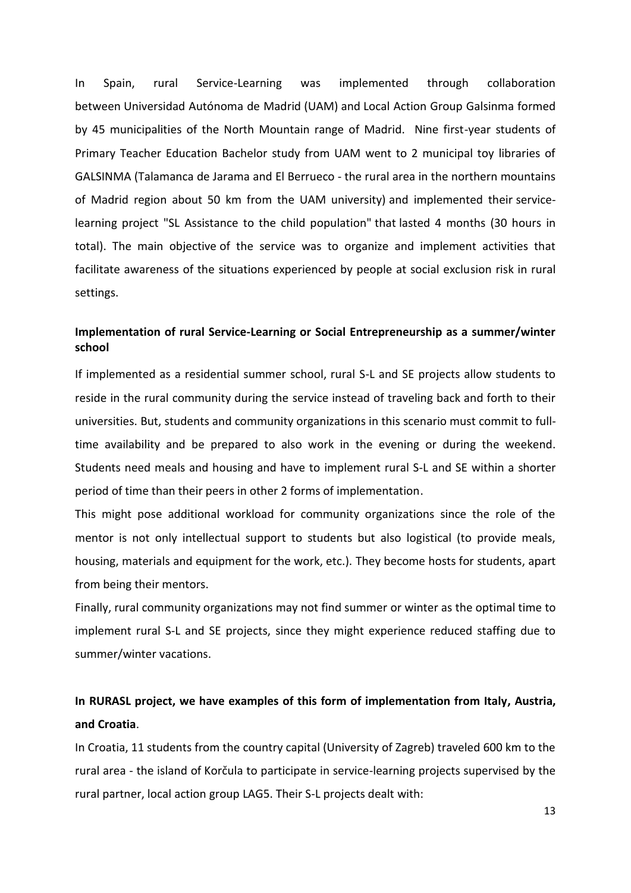In Spain, rural Service-Learning was implemented through collaboration between Universidad Autónoma de Madrid (UAM) and Local Action Group Galsinma formed by 45 municipalities of the North Mountain range of Madrid. Nine first-year students of Primary Teacher Education Bachelor study from UAM went to 2 municipal toy libraries of GALSINMA (Talamanca de Jarama and El Berrueco - the rural area in the northern mountains of Madrid region about 50 km from the UAM university) and implemented their servicelearning project "SL Assistance to the child population" that lasted 4 months (30 hours in total). The main objective of the service was to organize and implement activities that facilitate awareness of the situations experienced by people at social exclusion risk in rural settings.

### **Implementation of rural Service-Learning or Social Entrepreneurship as a summer/winter school**

If implemented as a residential summer school, rural S-L and SE projects allow students to reside in the rural community during the service instead of traveling back and forth to their universities. But, students and community organizations in this scenario must commit to fulltime availability and be prepared to also work in the evening or during the weekend. Students need meals and housing and have to implement rural S-L and SE within a shorter period of time than their peers in other 2 forms of implementation.

This might pose additional workload for community organizations since the role of the mentor is not only intellectual support to students but also logistical (to provide meals, housing, materials and equipment for the work, etc.). They become hosts for students, apart from being their mentors.

Finally, rural community organizations may not find summer or winter as the optimal time to implement rural S-L and SE projects, since they might experience reduced staffing due to summer/winter vacations.

### **In RURASL project, we have examples of this form of implementation from Italy, Austria, and Croatia**.

In Croatia, 11 students from the country capital (University of Zagreb) traveled 600 km to the rural area - the island of Korčula to participate in service-learning projects supervised by the rural partner, local action group LAG5. Their S-L projects dealt with: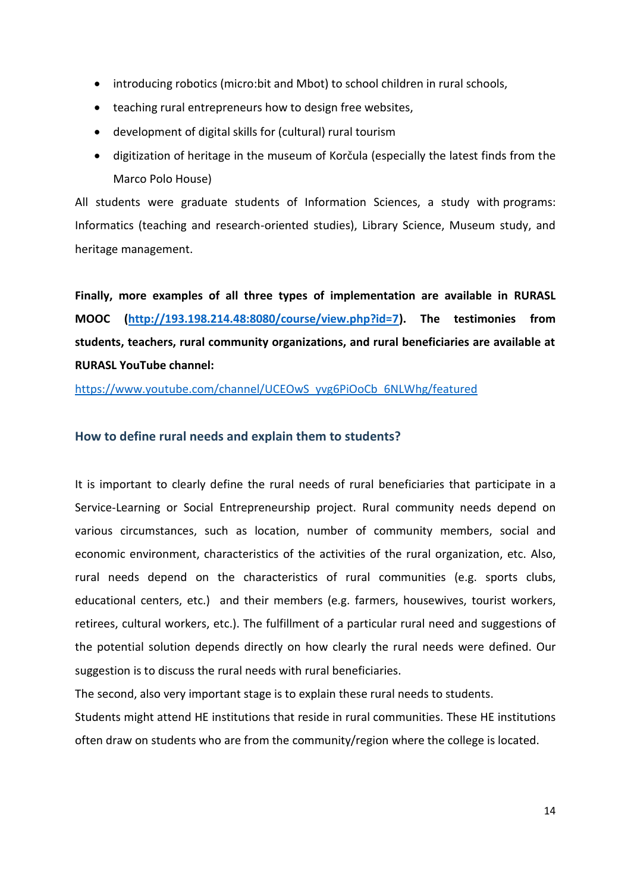- introducing robotics (micro:bit and Mbot) to school children in rural schools,
- teaching rural entrepreneurs how to design free websites,
- development of digital skills for (cultural) rural tourism
- digitization of heritage in the museum of Korčula (especially the latest finds from the Marco Polo House)

All students were graduate students of Information Sciences, a study with programs: Informatics (teaching and research-oriented studies), Library Science, Museum study, and heritage management.

**Finally, more examples of all three types of implementation are available in RURASL MOOC [\(http://193.198.214.48:8080/course/view.php?id=7\)](http://193.198.214.48:8080/course/view.php?id=7). The testimonies from students, teachers, rural community organizations, and rural beneficiaries are available at RURASL YouTube channel:**

[https://www.youtube.com/channel/UCEOwS\\_yvg6PiOoCb\\_6NLWhg/featured](https://www.youtube.com/channel/UCEOwS_yvg6PiOoCb_6NLWhg/featured)

### <span id="page-13-0"></span>**How to define rural needs and explain them to students?**

It is important to clearly define the rural needs of rural beneficiaries that participate in a Service-Learning or Social Entrepreneurship project. Rural community needs depend on various circumstances, such as location, number of community members, social and economic environment, characteristics of the activities of the rural organization, etc. Also, rural needs depend on the characteristics of rural communities (e.g. sports clubs, educational centers, etc.) and their members (e.g. farmers, housewives, tourist workers, retirees, cultural workers, etc.). The fulfillment of a particular rural need and suggestions of the potential solution depends directly on how clearly the rural needs were defined. Our suggestion is to discuss the rural needs with rural beneficiaries.

The second, also very important stage is to explain these rural needs to students.

Students might attend HE institutions that reside in rural communities. These HE institutions often draw on students who are from the community/region where the college is located.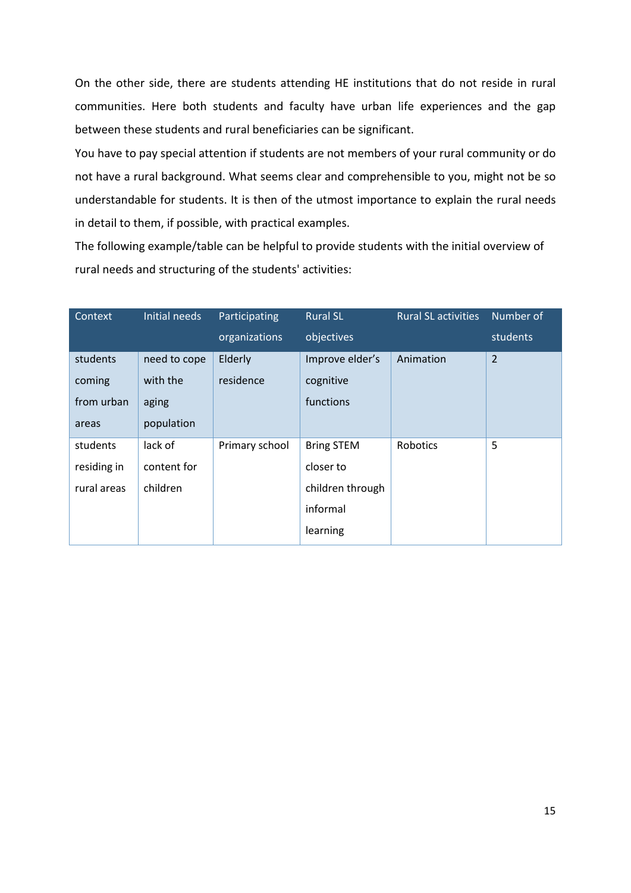On the other side, there are students attending HE institutions that do not reside in rural communities. Here both students and faculty have urban life experiences and the gap between these students and rural beneficiaries can be significant.

You have to pay special attention if students are not members of your rural community or do not have a rural background. What seems clear and comprehensible to you, might not be so understandable for students. It is then of the utmost importance to explain the rural needs in detail to them, if possible, with practical examples.

The following example/table can be helpful to provide students with the initial overview of rural needs and structuring of the students' activities:

| Context     | Initial needs | Participating  | <b>Rural SL</b>   | <b>Rural SL activities</b> | Number of      |
|-------------|---------------|----------------|-------------------|----------------------------|----------------|
|             |               | organizations  | objectives        |                            | students       |
| students    | need to cope  | Elderly        | Improve elder's   | Animation                  | $\overline{2}$ |
| coming      | with the      | residence      | cognitive         |                            |                |
| from urban  | aging         |                | functions         |                            |                |
| areas       | population    |                |                   |                            |                |
| students    | lack of       | Primary school | <b>Bring STEM</b> | Robotics                   | 5              |
| residing in | content for   |                | closer to         |                            |                |
| rural areas | children      |                | children through  |                            |                |
|             |               |                | informal          |                            |                |
|             |               |                | learning          |                            |                |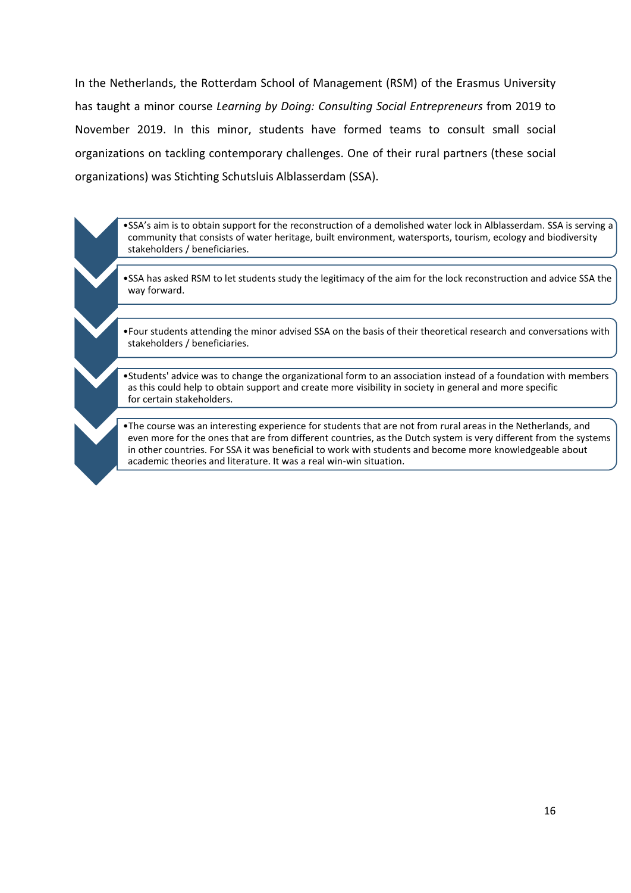In the Netherlands, the Rotterdam School of Management (RSM) of the Erasmus University has taught a minor course *Learning by Doing: Consulting Social Entrepreneurs* from 2019 to November 2019. In this minor, students have formed teams to consult small social organizations on tackling contemporary challenges. One of their rural partners (these social organizations) was Stichting Schutsluis Alblasserdam (SSA).

•SSA's aim is to obtain support for the reconstruction of a demolished water lock in Alblasserdam. SSA is serving a community that consists of water heritage, built environment, watersports, tourism, ecology and biodiversity stakeholders / beneficiaries.

•SSA has asked RSM to let students study the legitimacy of the aim for the lock reconstruction and advice SSA the way forward.

•Four students attending the minor advised SSA on the basis of their theoretical research and conversations with stakeholders / beneficiaries.

•Students' advice was to change the organizational form to an association instead of a foundation with members as this could help to obtain support and create more visibility in society in general and more specific for certain stakeholders.

•The course was an interesting experience for students that are not from rural areas in the Netherlands, and even more for the ones that are from different countries, as the Dutch system is very different from the systems in other countries. For SSA it was beneficial to work with students and become more knowledgeable about academic theories and literature. It was a real win-win situation.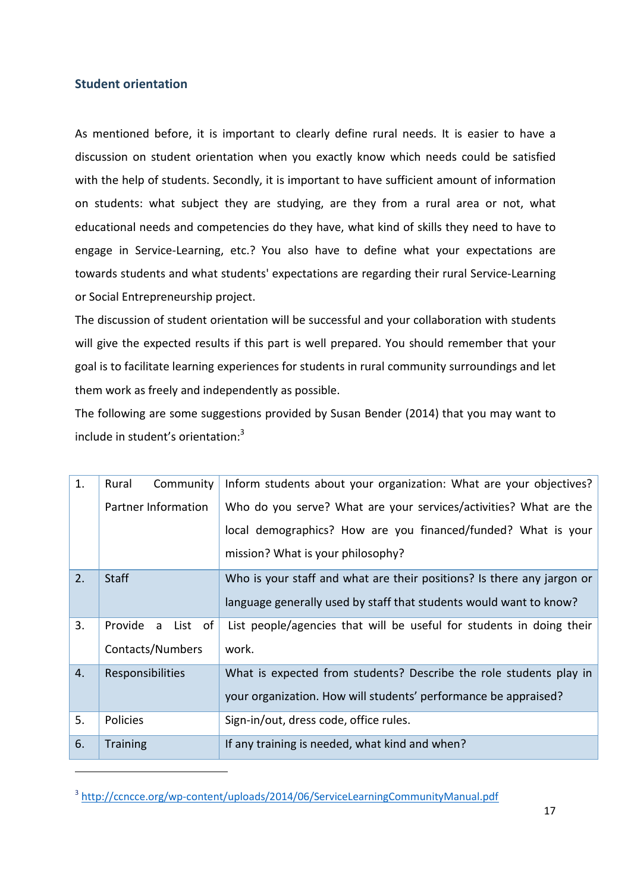### <span id="page-16-0"></span>**Student orientation**

 $\overline{a}$ 

As mentioned before, it is important to clearly define rural needs. It is easier to have a discussion on student orientation when you exactly know which needs could be satisfied with the help of students. Secondly, it is important to have sufficient amount of information on students: what subject they are studying, are they from a rural area or not, what educational needs and competencies do they have, what kind of skills they need to have to engage in Service-Learning, etc.? You also have to define what your expectations are towards students and what students' expectations are regarding their rural Service-Learning or Social Entrepreneurship project.

The discussion of student orientation will be successful and your collaboration with students will give the expected results if this part is well prepared. You should remember that your goal is to facilitate learning experiences for students in rural community surroundings and let them work as freely and independently as possible.

The following are some suggestions provided by Susan Bender (2014) that you may want to include in student's orientation:<sup>3</sup>

| 1. | Rural<br>Community   | Inform students about your organization: What are your objectives?     |
|----|----------------------|------------------------------------------------------------------------|
|    | Partner Information  | Who do you serve? What are your services/activities? What are the      |
|    |                      | local demographics? How are you financed/funded? What is your          |
|    |                      | mission? What is your philosophy?                                      |
| 2. | <b>Staff</b>         | Who is your staff and what are their positions? Is there any jargon or |
|    |                      | language generally used by staff that students would want to know?     |
| 3. | Provide<br>a List of | List people/agencies that will be useful for students in doing their   |
|    | Contacts/Numbers     | work.                                                                  |
| 4. | Responsibilities     | What is expected from students? Describe the role students play in     |
|    |                      | your organization. How will students' performance be appraised?        |
| 5. | Policies             | Sign-in/out, dress code, office rules.                                 |
| 6. | <b>Training</b>      | If any training is needed, what kind and when?                         |

<sup>&</sup>lt;sup>3</sup> <http://ccncce.org/wp-content/uploads/2014/06/ServiceLearningCommunityManual.pdf>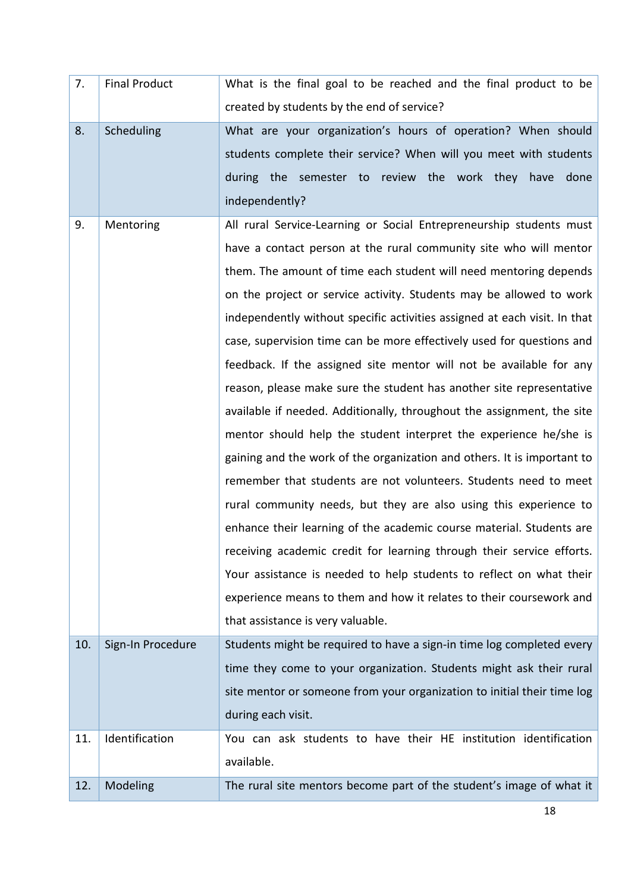| 7.  | <b>Final Product</b> | What is the final goal to be reached and the final product to be          |
|-----|----------------------|---------------------------------------------------------------------------|
|     |                      | created by students by the end of service?                                |
| 8.  | Scheduling           | What are your organization's hours of operation? When should              |
|     |                      | students complete their service? When will you meet with students         |
|     |                      | the semester to review the work they have done<br>during                  |
|     |                      | independently?                                                            |
| 9.  | Mentoring            | All rural Service-Learning or Social Entrepreneurship students must       |
|     |                      | have a contact person at the rural community site who will mentor         |
|     |                      | them. The amount of time each student will need mentoring depends         |
|     |                      | on the project or service activity. Students may be allowed to work       |
|     |                      | independently without specific activities assigned at each visit. In that |
|     |                      | case, supervision time can be more effectively used for questions and     |
|     |                      | feedback. If the assigned site mentor will not be available for any       |
|     |                      | reason, please make sure the student has another site representative      |
|     |                      | available if needed. Additionally, throughout the assignment, the site    |
|     |                      | mentor should help the student interpret the experience he/she is         |
|     |                      | gaining and the work of the organization and others. It is important to   |
|     |                      | remember that students are not volunteers. Students need to meet          |
|     |                      | rural community needs, but they are also using this experience to         |
|     |                      | enhance their learning of the academic course material. Students are      |
|     |                      | receiving academic credit for learning through their service efforts.     |
|     |                      | Your assistance is needed to help students to reflect on what their       |
|     |                      | experience means to them and how it relates to their coursework and       |
|     |                      | that assistance is very valuable.                                         |
| 10. | Sign-In Procedure    | Students might be required to have a sign-in time log completed every     |
|     |                      | time they come to your organization. Students might ask their rural       |
|     |                      | site mentor or someone from your organization to initial their time log   |
|     |                      | during each visit.                                                        |
| 11. | Identification       | You can ask students to have their HE institution identification          |
|     |                      | available.                                                                |
| 12. | Modeling             | The rural site mentors become part of the student's image of what it      |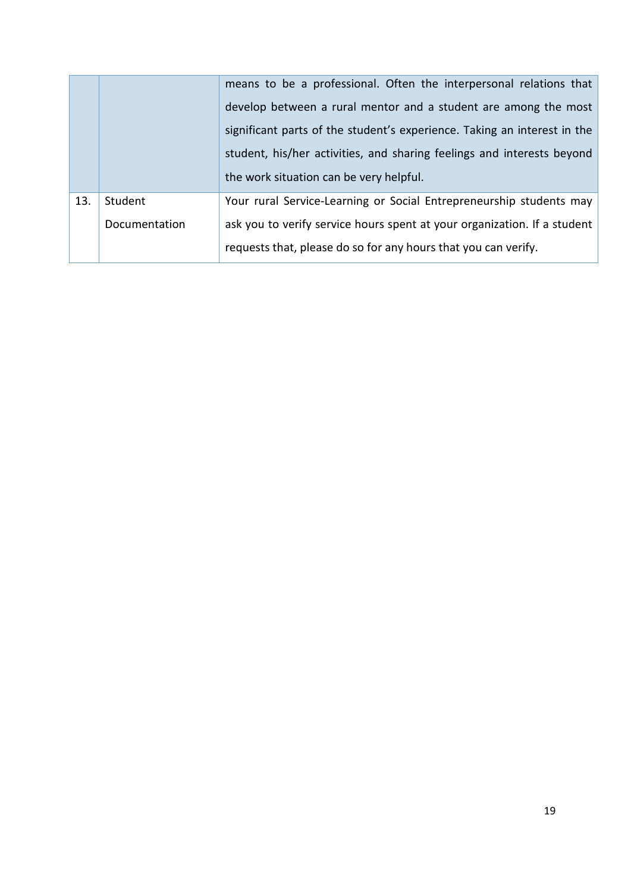|     |               | means to be a professional. Often the interpersonal relations that<br>develop between a rural mentor and a student are among the most |  |  |
|-----|---------------|---------------------------------------------------------------------------------------------------------------------------------------|--|--|
|     |               | significant parts of the student's experience. Taking an interest in the                                                              |  |  |
|     |               |                                                                                                                                       |  |  |
|     |               | student, his/her activities, and sharing feelings and interests beyond                                                                |  |  |
|     |               |                                                                                                                                       |  |  |
|     |               | the work situation can be very helpful.                                                                                               |  |  |
| 13. | Student       | Your rural Service-Learning or Social Entrepreneurship students may                                                                   |  |  |
|     | Documentation | ask you to verify service hours spent at your organization. If a student                                                              |  |  |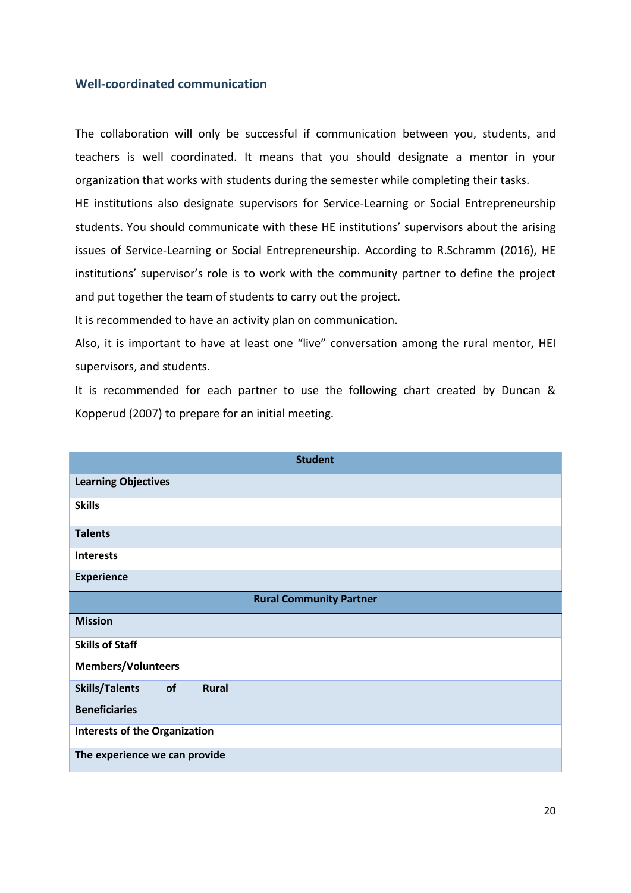### <span id="page-19-0"></span>**Well-coordinated communication**

The collaboration will only be successful if communication between you, students, and teachers is well coordinated. It means that you should designate a mentor in your organization that works with students during the semester while completing their tasks.

HE institutions also designate supervisors for Service-Learning or Social Entrepreneurship students. You should communicate with these HE institutions' supervisors about the arising issues of Service-Learning or Social Entrepreneurship. According to R.Schramm (2016), HE institutions' supervisor's role is to work with the community partner to define the project and put together the team of students to carry out the project.

It is recommended to have an activity plan on communication.

Also, it is important to have at least one "live" conversation among the rural mentor, HEI supervisors, and students.

It is recommended for each partner to use the following chart created by Duncan & Kopperud (2007) to prepare for an initial meeting.

|                                             | <b>Student</b> |  |
|---------------------------------------------|----------------|--|
| <b>Learning Objectives</b>                  |                |  |
| <b>Skills</b>                               |                |  |
| <b>Talents</b>                              |                |  |
| <b>Interests</b>                            |                |  |
| <b>Experience</b>                           |                |  |
| <b>Rural Community Partner</b>              |                |  |
| <b>Mission</b>                              |                |  |
| <b>Skills of Staff</b>                      |                |  |
| <b>Members/Volunteers</b>                   |                |  |
| <b>Skills/Talents</b><br>of<br><b>Rural</b> |                |  |
| <b>Beneficiaries</b>                        |                |  |
| <b>Interests of the Organization</b>        |                |  |
| The experience we can provide               |                |  |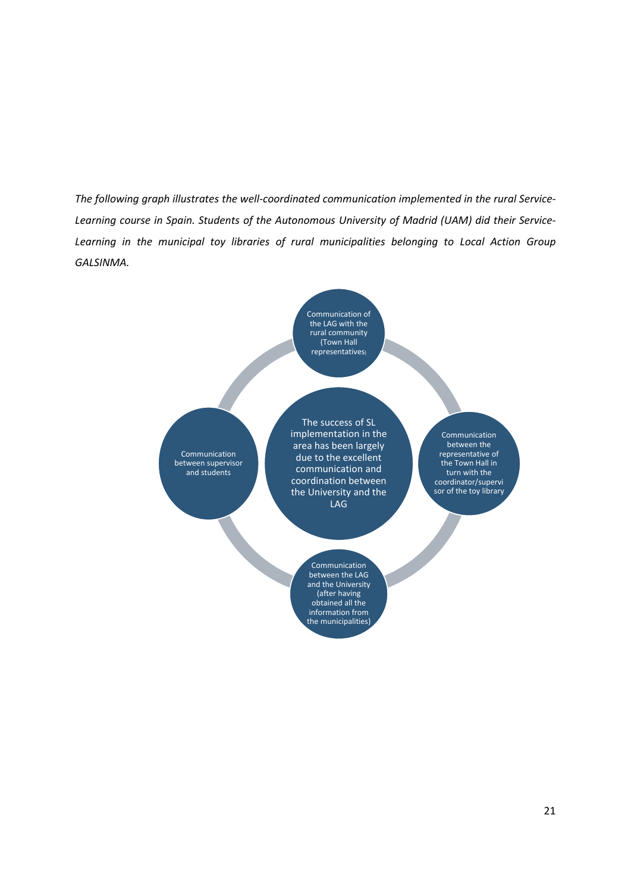*The following graph illustrates the well-coordinated communication implemented in the rural Service-Learning course in Spain. Students of the Autonomous University of Madrid (UAM) did their Service-Learning in the municipal toy libraries of rural municipalities belonging to Local Action Group GALSINMA.*

> Communication of the LAG with the rural community (Town Hall representatives)

Communication between supervisor and students

The success of SL implementation in the area has been largely due to the excellent communication and coordination between the University and the LAG

> Communication between the LAG and the University (after having obtained all the information from the municipalities)

Communication between the representative of the Town Hall in turn with the coordinator/supervi sor of the toy library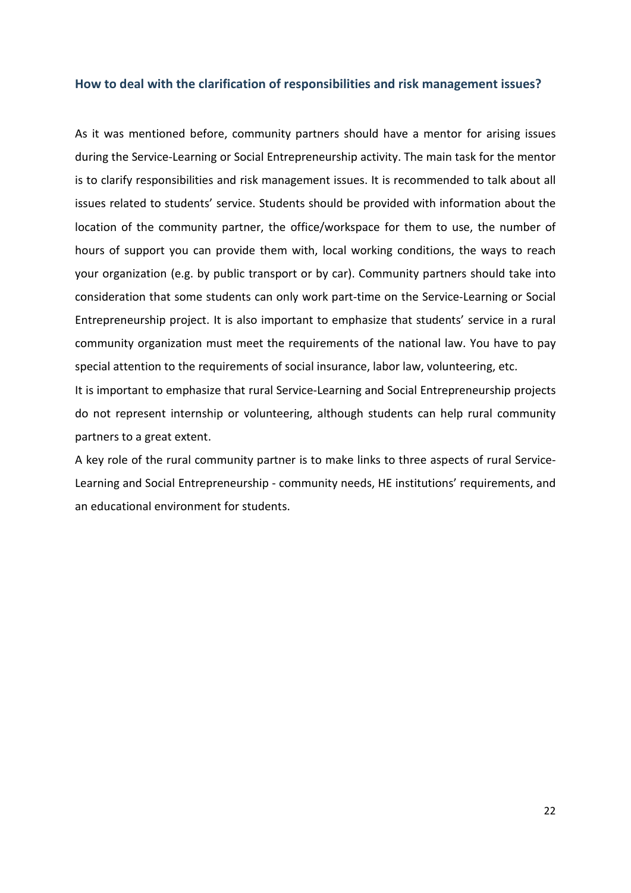### <span id="page-21-0"></span>**How to deal with the clarification of responsibilities and risk management issues?**

As it was mentioned before, community partners should have a mentor for arising issues during the Service-Learning or Social Entrepreneurship activity. The main task for the mentor is to clarify responsibilities and risk management issues. It is recommended to talk about all issues related to students' service. Students should be provided with information about the location of the community partner, the office/workspace for them to use, the number of hours of support you can provide them with, local working conditions, the ways to reach your organization (e.g. by public transport or by car). Community partners should take into consideration that some students can only work part-time on the Service-Learning or Social Entrepreneurship project. It is also important to emphasize that students' service in a rural community organization must meet the requirements of the national law. You have to pay special attention to the requirements of social insurance, labor law, volunteering, etc.

It is important to emphasize that rural Service-Learning and Social Entrepreneurship projects do not represent internship or volunteering, although students can help rural community partners to a great extent.

A key role of the rural community partner is to make links to three aspects of rural Service-Learning and Social Entrepreneurship - community needs, HE institutions' requirements, and an educational environment for students.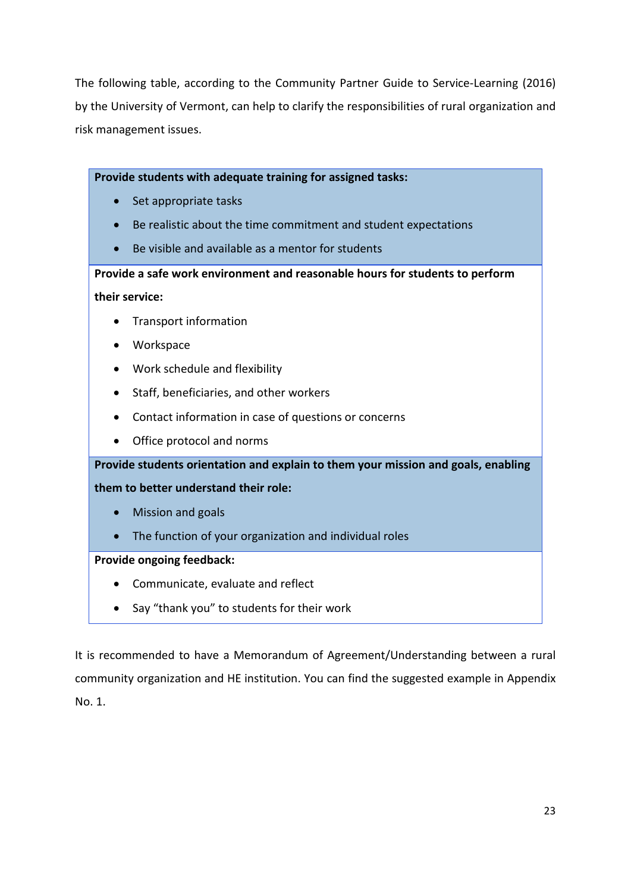The following table, according to the Community Partner Guide to Service-Learning (2016) by the University of Vermont, can help to clarify the responsibilities of rural organization and risk management issues.

**Provide students with adequate training for assigned tasks:**

- Set appropriate tasks
- Be realistic about the time commitment and student expectations
- Be visible and available as a mentor for students

**Provide a safe work environment and reasonable hours for students to perform their service:**

- Transport information
- Workspace
- Work schedule and flexibility
- Staff, beneficiaries, and other workers
- Contact information in case of questions or concerns
- Office protocol and norms

**Provide students orientation and explain to them your mission and goals, enabling** 

**them to better understand their role:**

- Mission and goals
- The function of your organization and individual roles

### **Provide ongoing feedback:**

- Communicate, evaluate and reflect
- Say "thank you" to students for their work

It is recommended to have a Memorandum of Agreement/Understanding between a rural community organization and HE institution. You can find the suggested example in Appendix No. 1.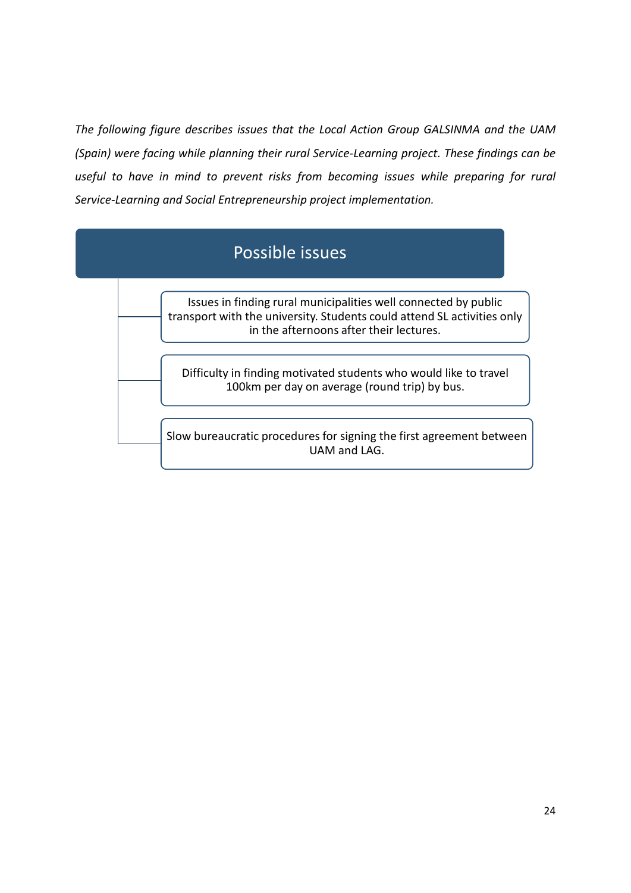*The following figure describes issues that the Local Action Group GALSINMA and the UAM (Spain) were facing while planning their rural Service-Learning project. These findings can be useful to have in mind to prevent risks from becoming issues while preparing for rural Service-Learning and Social Entrepreneurship project implementation.*

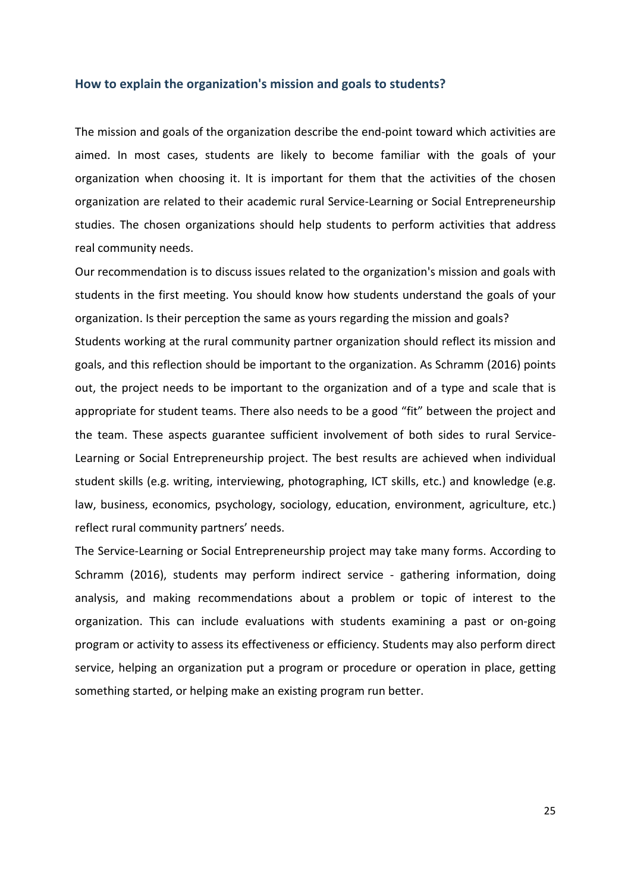#### <span id="page-24-0"></span>**How to explain the organization's mission and goals to students?**

The mission and goals of the organization describe the end-point toward which activities are aimed. In most cases, students are likely to become familiar with the goals of your organization when choosing it. It is important for them that the activities of the chosen organization are related to their academic rural Service-Learning or Social Entrepreneurship studies. The chosen organizations should help students to perform activities that address real community needs.

Our recommendation is to discuss issues related to the organization's mission and goals with students in the first meeting. You should know how students understand the goals of your organization. Is their perception the same as yours regarding the mission and goals? Students working at the rural community partner organization should reflect its mission and goals, and this reflection should be important to the organization. As Schramm (2016) points out, the project needs to be important to the organization and of a type and scale that is appropriate for student teams. There also needs to be a good "fit" between the project and the team. These aspects guarantee sufficient involvement of both sides to rural Service-Learning or Social Entrepreneurship project. The best results are achieved when individual student skills (e.g. writing, interviewing, photographing, ICT skills, etc.) and knowledge (e.g. law, business, economics, psychology, sociology, education, environment, agriculture, etc.) reflect rural community partners' needs.

The Service-Learning or Social Entrepreneurship project may take many forms. According to Schramm (2016), students may perform indirect service - gathering information, doing analysis, and making recommendations about a problem or topic of interest to the organization. This can include evaluations with students examining a past or on-going program or activity to assess its effectiveness or efficiency. Students may also perform direct service, helping an organization put a program or procedure or operation in place, getting something started, or helping make an existing program run better.

25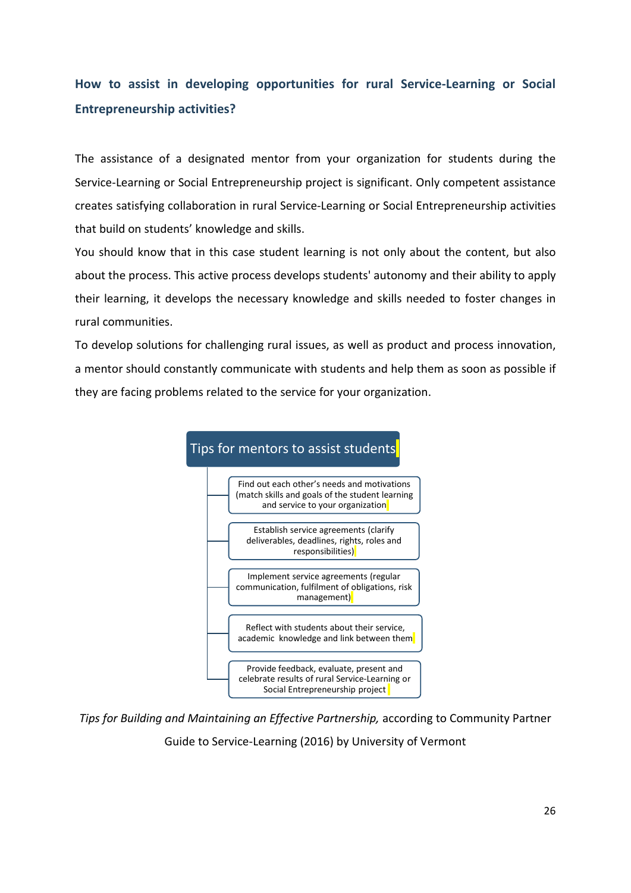## <span id="page-25-0"></span>**How to assist in developing opportunities for rural Service-Learning or Social Entrepreneurship activities?**

The assistance of a designated mentor from your organization for students during the Service-Learning or Social Entrepreneurship project is significant. Only competent assistance creates satisfying collaboration in rural Service-Learning or Social Entrepreneurship activities that build on students' knowledge and skills.

You should know that in this case student learning is not only about the content, but also about the process. This active process develops students' autonomy and their ability to apply their learning, it develops the necessary knowledge and skills needed to foster changes in rural communities.

To develop solutions for challenging rural issues, as well as product and process innovation, a mentor should constantly communicate with students and help them as soon as possible if they are facing problems related to the service for your organization.



*Tips for Building and Maintaining an Effective Partnership,* according to Community Partner

Guide to Service-Learning (2016) by University of Vermont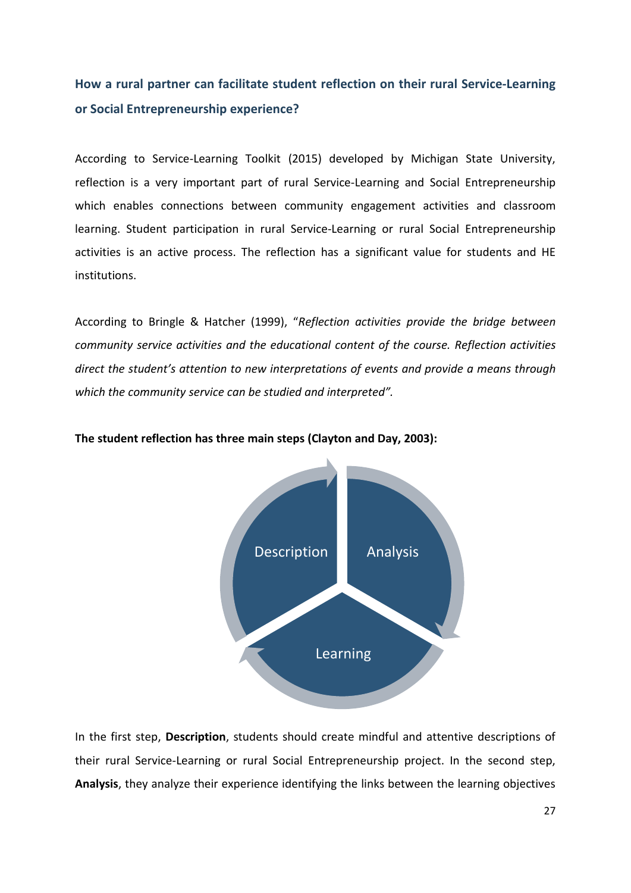## <span id="page-26-0"></span>**How a rural partner can facilitate student reflection on their rural Service-Learning or Social Entrepreneurship experience?**

According to Service-Learning Toolkit (2015) developed by Michigan State University, reflection is a very important part of rural Service-Learning and Social Entrepreneurship which enables connections between community engagement activities and classroom learning. Student participation in rural Service-Learning or rural Social Entrepreneurship activities is an active process. The reflection has a significant value for students and HE institutions.

According to Bringle & Hatcher (1999), "*Reflection activities provide the bridge between community service activities and the educational content of the course. Reflection activities direct the student's attention to new interpretations of events and provide a means through which the community service can be studied and interpreted".*



### **The student reflection has three main steps (Clayton and Day, 2003):**

In the first step, **Description**, students should create mindful and attentive descriptions of their rural Service-Learning or rural Social Entrepreneurship project. In the second step, **Analysis**, they analyze their experience identifying the links between the learning objectives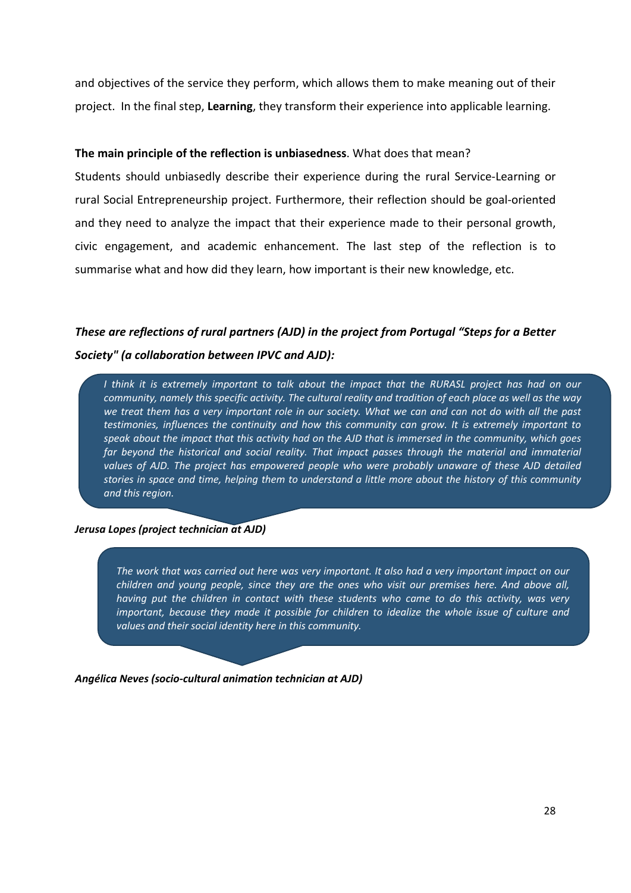and objectives of the service they perform, which allows them to make meaning out of their project. In the final step, **Learning**, they transform their experience into applicable learning.

### **The main principle of the reflection is unbiasedness**. What does that mean?

Students should unbiasedly describe their experience during the rural Service-Learning or rural Social Entrepreneurship project. Furthermore, their reflection should be goal-oriented and they need to analyze the impact that their experience made to their personal growth, civic engagement, and academic enhancement. The last step of the reflection is to summarise what and how did they learn, how important is their new knowledge, etc.

## *These are reflections of rural partners (AJD) in the project from Portugal "Steps for a Better Society" (a collaboration between IPVC and AJD):*

*I think it is extremely important to talk about the impact that the RURASL project has had on our community, namely this specific activity. The cultural reality and tradition of each place as well as the way we treat them has a very important role in our society. What we can and can not do with all the past testimonies, influences the continuity and how this community can grow. It is extremely important to speak about the impact that this activity had on the AJD that is immersed in the community, which goes far beyond the historical and social reality. That impact passes through the material and immaterial values of AJD. The project has empowered people who were probably unaware of these AJD detailed stories in space and time, helping them to understand a little more about the history of this community and this region.*

#### *Jerusa Lopes (project technician at AJD)*

*The work that was carried out here was very important. It also had a very important impact on our children and young people, since they are the ones who visit our premises here. And above all, having put the children in contact with these students who came to do this activity, was very important, because they made it possible for children to idealize the whole issue of culture and values and their social identity here in this community.*

*Angélica Neves (socio-cultural animation technician at AJD)*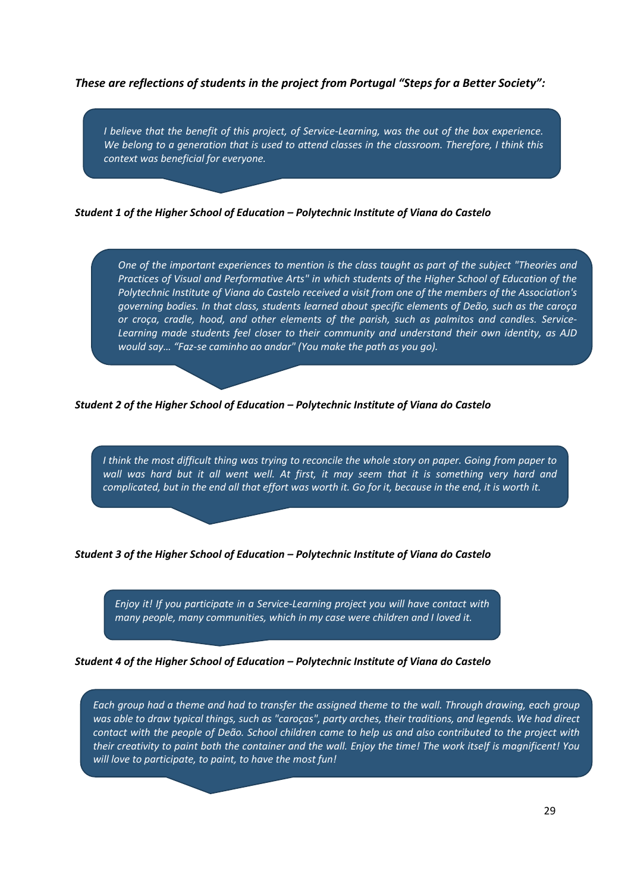*These are reflections of students in the project from Portugal "Steps for a Better Society":*

*I believe that the benefit of this project, of Service-Learning, was the out of the box experience. We belong to a generation that is used to attend classes in the classroom. Therefore, I think this context was beneficial for everyone.*

*Student 1 of the Higher School of Education – Polytechnic Institute of Viana do Castelo*

*One of the important experiences to mention is the class taught as part of the subject "Theories and Practices of Visual and Performative Arts" in which students of the Higher School of Education of the Polytechnic Institute of Viana do Castelo received a visit from one of the members of the Association's governing bodies. In that class, students learned about specific elements of Deão, such as the caroça or croça, cradle, hood, and other elements of the parish, such as palmitos and candles. Service-Learning made students feel closer to their community and understand their own identity, as AJD would say… "Faz-se caminho ao andar" (You make the path as you go).*

*Student 2 of the Higher School of Education – Polytechnic Institute of Viana do Castelo*

*I think the most difficult thing was trying to reconcile the whole story on paper. Going from paper to*  wall was hard but it all went well. At first, it may seem that it is something very hard and *complicated, but in the end all that effort was worth it. Go for it, because in the end, it is worth it.*

#### *Student 3 of the Higher School of Education – Polytechnic Institute of Viana do Castelo*

*Enjoy it! If you participate in a Service-Learning project you will have contact with many people, many communities, which in my case were children and I loved it.*

#### *Student 4 of the Higher School of Education – Polytechnic Institute of Viana do Castelo*

*Each group had a theme and had to transfer the assigned theme to the wall. Through drawing, each group was able to draw typical things, such as "caroças", party arches, their traditions, and legends. We had direct contact with the people of Deão. School children came to help us and also contributed to the project with their creativity to paint both the container and the wall. Enjoy the time! The work itself is magnificent! You will love to participate, to paint, to have the most fun!*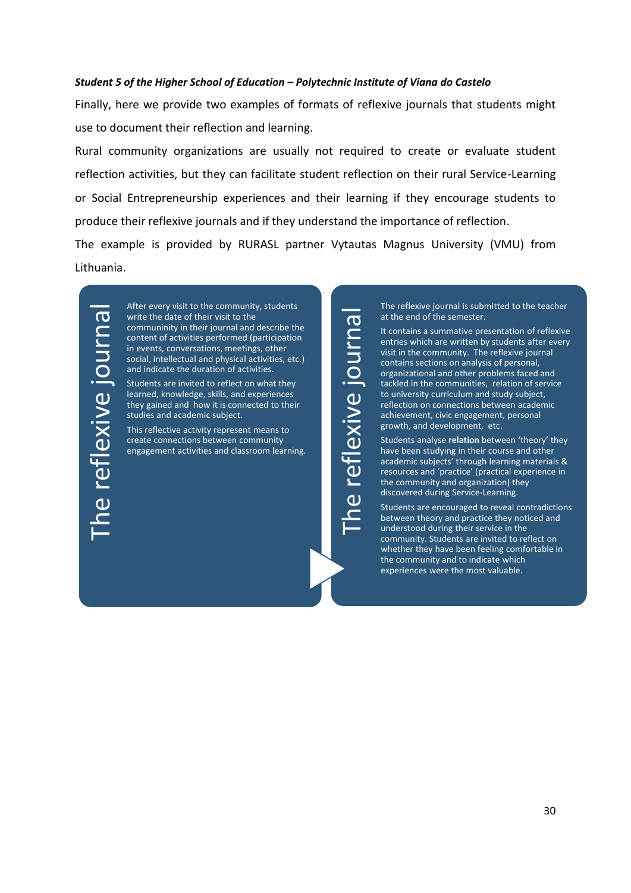#### *Student 5 of the Higher School of Education – Polytechnic Institute of Viana do Castelo*

Finally, here we provide two examples of formats of reflexive journals that students might use to document their reflection and learning.

Rural community organizations are usually not required to create or evaluate student reflection activities, but they can facilitate student reflection on their rural Service-Learning or Social Entrepreneurship experiences and their learning if they encourage students to produce their reflexive journals and if they understand the importance of reflection. The example is provided by RURASL partner Vytautas Magnus University (VMU) from Lithuania.

The reflexive journal

he reflexive journa

After every visit to the community, students write the date of their visit to the communinity in their journal and describe the content of activities performed (participation in events, conversations, meetings, other social, intellectual and physical activities, etc.) and indicate the duration of activities.

Students are invited to reflect on what they learned, knowledge, skills, and experiences they gained and how it is connected to their studies and academic subject.

This reflective activity represent means to create connections between community engagement activities and classroom learning. The reflexive journal is submitted to the teacher at the end of the semester.

It contains a summative presentation of reflexive entries which are written by students after every visit in the community. The reflexive journal contains sections on analysis of personal, organizational and other problems faced and tackled in the communities, relation of service to university curriculum and study subject, reflection on connections between academic achievement, civic engagement, personal growth, and development, etc.

Students analyse **relation** between 'theory' they have been studying in their course and other academic subjects' through learning materials & resources and 'practice' (practical experience in the community and organization) they discovered during Service-Learning.

Students are encouraged to reveal contradictions between theory and practice they noticed and understood during their service in the community. Students are invited to reflect on whether they have been feeling comfortable in the community and to indicate which experiences were the most valuable.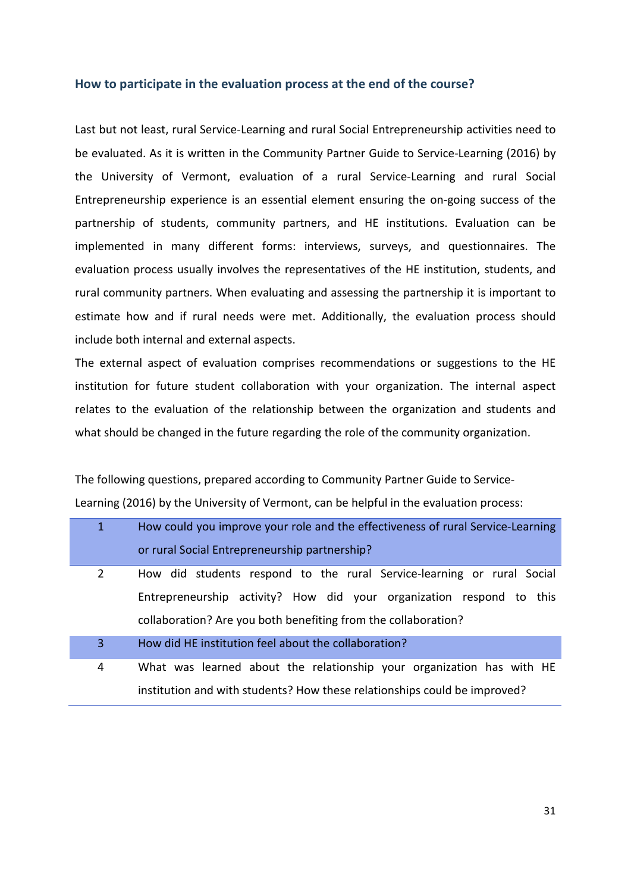#### <span id="page-30-0"></span>**How to participate in the evaluation process at the end of the course?**

Last but not least, rural Service-Learning and rural Social Entrepreneurship activities need to be evaluated. As it is written in the Community Partner Guide to Service-Learning (2016) by the University of Vermont, evaluation of a rural Service-Learning and rural Social Entrepreneurship experience is an essential element ensuring the on-going success of the partnership of students, community partners, and HE institutions. Evaluation can be implemented in many different forms: interviews, surveys, and questionnaires. The evaluation process usually involves the representatives of the HE institution, students, and rural community partners. When evaluating and assessing the partnership it is important to estimate how and if rural needs were met. Additionally, the evaluation process should include both internal and external aspects.

The external aspect of evaluation comprises recommendations or suggestions to the HE institution for future student collaboration with your organization. The internal aspect relates to the evaluation of the relationship between the organization and students and what should be changed in the future regarding the role of the community organization.

The following questions, prepared according to Community Partner Guide to Service-Learning (2016) by the University of Vermont, can be helpful in the evaluation process:

| 1 | How could you improve your role and the effectiveness of rural Service-Learning |
|---|---------------------------------------------------------------------------------|
|   | or rural Social Entrepreneurship partnership?                                   |
| 2 | How did students respond to the rural Service-learning or rural Social          |
|   | Entrepreneurship activity? How did your organization respond to this            |
|   | collaboration? Are you both benefiting from the collaboration?                  |
| 3 | How did HE institution feel about the collaboration?                            |
| 4 | What was learned about the relationship your organization has with HE           |
|   | institution and with students? How these relationships could be improved?       |
|   |                                                                                 |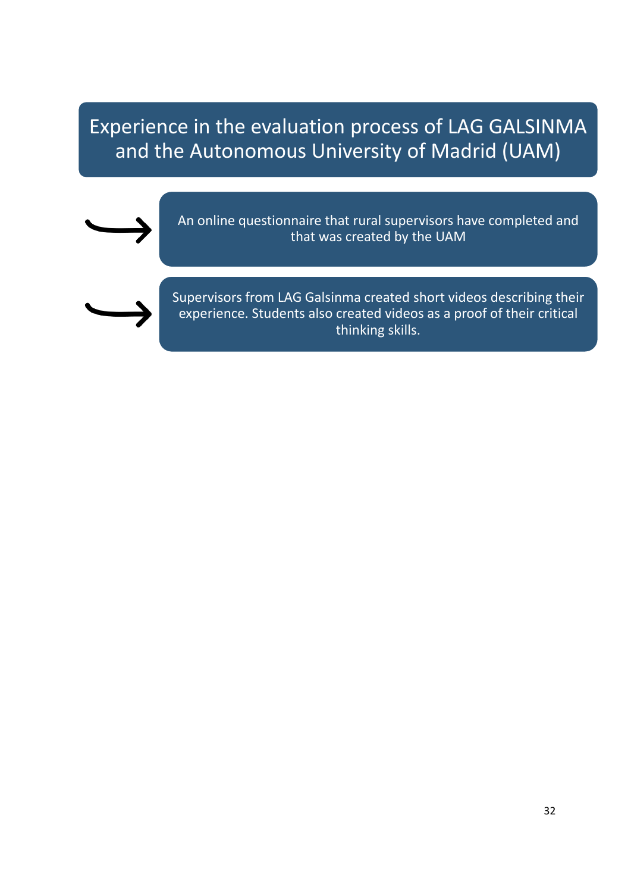Experience in the evaluation process of LAG GALSINMA and the Autonomous University of Madrid (UAM)



An online questionnaire that rural supervisors have completed and that was created by the UAM



Supervisors from LAG Galsinma created short videos describing their experience. Students also created videos as a proof of their critical thinking skills.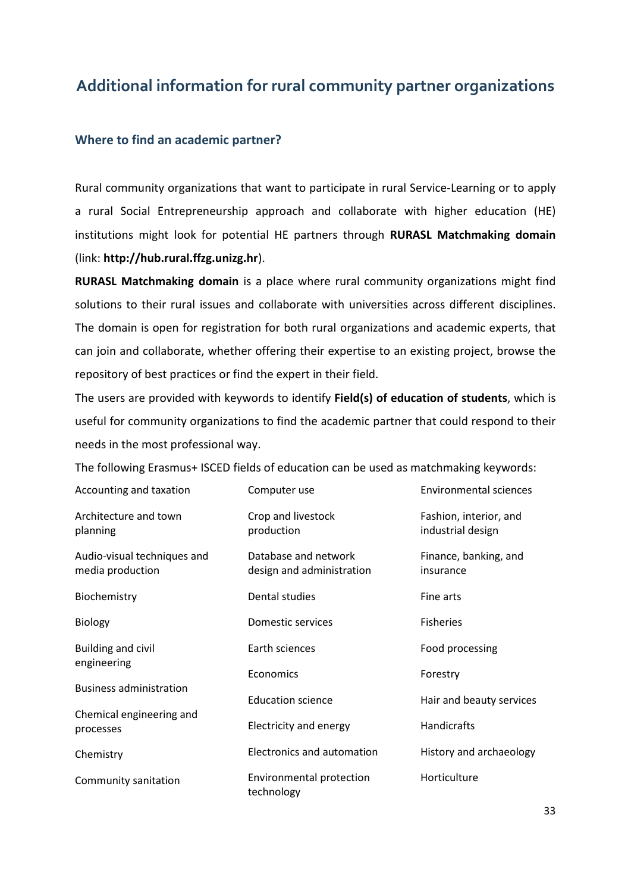## <span id="page-32-0"></span>**Additional information for rural community partner organizations**

### <span id="page-32-1"></span>**Where to find an academic partner?**

Rural community organizations that want to participate in rural Service-Learning or to apply a rural Social Entrepreneurship approach and collaborate with higher education (HE) institutions might look for potential HE partners through **RURASL Matchmaking domain** (link: **http://hub.rural.ffzg.unizg.hr**).

**RURASL Matchmaking domain** is a place where rural community organizations might find solutions to their rural issues and collaborate with universities across different disciplines. The domain is open for registration for both rural organizations and academic experts, that can join and collaborate, whether offering their expertise to an existing project, browse the repository of best practices or find the expert in their field.

The users are provided with keywords to identify **Field(s) of education of students**, which is useful for community organizations to find the academic partner that could respond to their needs in the most professional way.

The following Erasmus+ ISCED fields of education can be used as matchmaking keywords:

| Accounting and taxation                         | Computer use                                      | <b>Environmental sciences</b>               |
|-------------------------------------------------|---------------------------------------------------|---------------------------------------------|
| Architecture and town<br>planning               | Crop and livestock<br>production                  | Fashion, interior, and<br>industrial design |
| Audio-visual techniques and<br>media production | Database and network<br>design and administration | Finance, banking, and<br>insurance          |
| Biochemistry                                    | Dental studies                                    | Fine arts                                   |
| <b>Biology</b>                                  | Domestic services                                 | <b>Fisheries</b>                            |
| <b>Building and civil</b>                       | Earth sciences                                    | Food processing                             |
| engineering                                     | Economics                                         | Forestry                                    |
| <b>Business administration</b>                  | <b>Education science</b>                          | Hair and beauty services                    |
| Chemical engineering and<br>processes           | Electricity and energy                            | <b>Handicrafts</b>                          |
| Chemistry                                       | Electronics and automation                        | History and archaeology                     |
| Community sanitation                            | Environmental protection<br>technology            | Horticulture                                |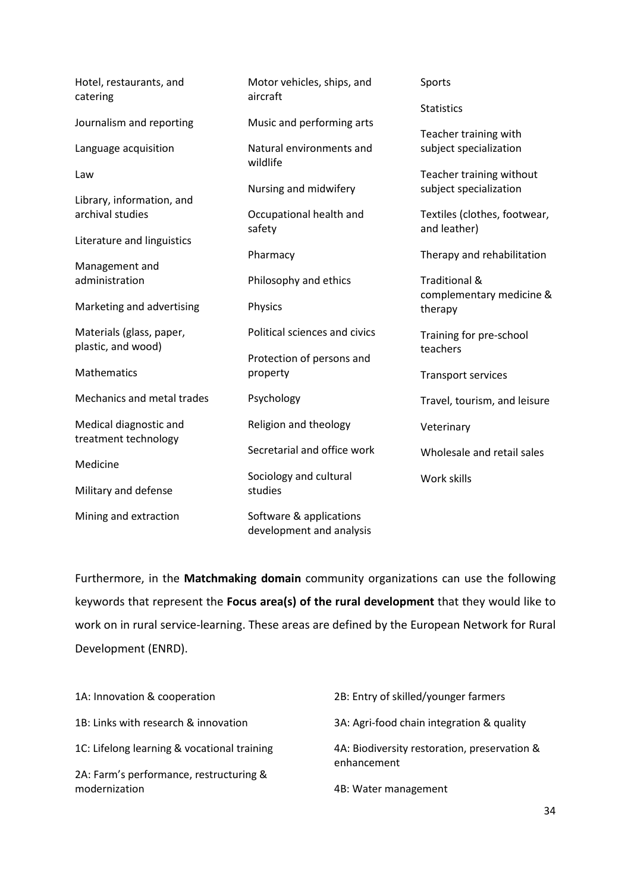| Hotel, restaurants, and<br>catering            | Motor vehicles, ships, and<br>aircraft | Sports                              |
|------------------------------------------------|----------------------------------------|-------------------------------------|
|                                                |                                        | <b>Statistics</b>                   |
| Journalism and reporting                       | Music and performing arts              | Teacher training with               |
| Language acquisition                           | Natural environments and<br>wildlife   | subject specialization              |
| Law                                            |                                        | Teacher training without            |
|                                                | Nursing and midwifery                  | subject specialization              |
| Library, information, and                      |                                        |                                     |
| archival studies                               | Occupational health and                | Textiles (clothes, footwear,        |
| Literature and linguistics                     | safety                                 | and leather)                        |
|                                                | Pharmacy                               | Therapy and rehabilitation          |
| Management and                                 |                                        |                                     |
| administration                                 | Philosophy and ethics                  | <b>Traditional &amp;</b>            |
| Marketing and advertising                      | Physics                                | complementary medicine &<br>therapy |
| Materials (glass, paper,                       | Political sciences and civics          | Training for pre-school             |
| plastic, and wood)                             |                                        | teachers                            |
| Mathematics                                    | Protection of persons and              |                                     |
|                                                | property                               | <b>Transport services</b>           |
| Mechanics and metal trades                     | Psychology                             | Travel, tourism, and leisure        |
| Medical diagnostic and<br>treatment technology | Religion and theology                  | Veterinary                          |
|                                                | Secretarial and office work            | Wholesale and retail sales          |
| Medicine                                       |                                        |                                     |
| Military and defense                           | Sociology and cultural<br>studies      | Work skills                         |
|                                                |                                        |                                     |
| Mining and extraction                          | Software & applications                |                                     |
|                                                | development and analysis               |                                     |

Furthermore, in the **Matchmaking domain** community organizations can use the following keywords that represent the **Focus area(s) of the rural development** that they would like to work on in rural service-learning. These areas are defined by the European Network for Rural Development (ENRD).

| 1A: Innovation & cooperation                             | 2B: Entry of skilled/younger farmers                        |
|----------------------------------------------------------|-------------------------------------------------------------|
| 1B: Links with research & innovation                     | 3A: Agri-food chain integration & quality                   |
| 1C: Lifelong learning & vocational training              | 4A: Biodiversity restoration, preservation &<br>enhancement |
| 2A: Farm's performance, restructuring &<br>modernization | 4B: Water management                                        |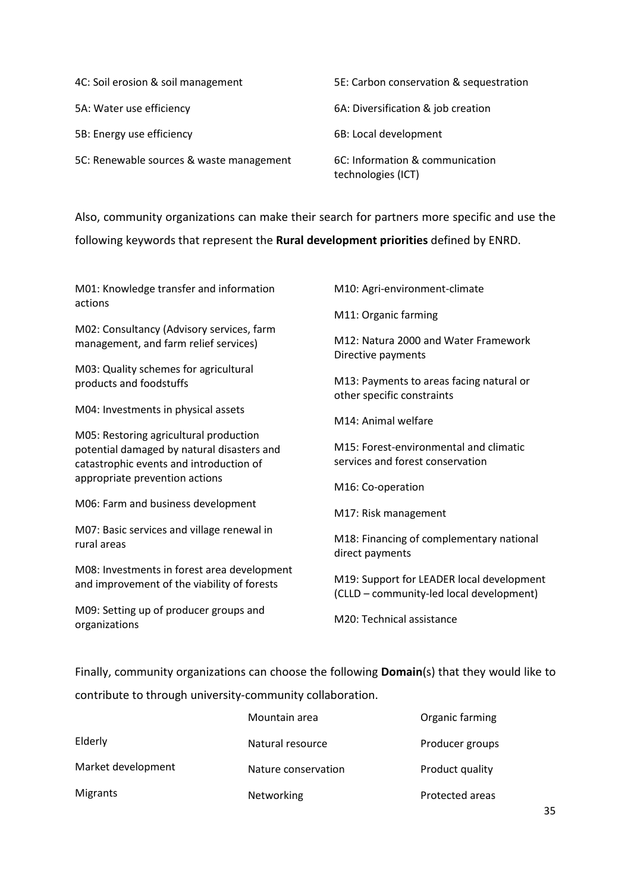| 4C: Soil erosion & soil management       | 5E: Carbon conservation & sequestration               |
|------------------------------------------|-------------------------------------------------------|
| 5A: Water use efficiency                 | 6A: Diversification & job creation                    |
| 5B: Energy use efficiency                | 6B: Local development                                 |
| 5C: Renewable sources & waste management | 6C: Information & communication<br>technologies (ICT) |

Also, community organizations can make their search for partners more specific and use the

following keywords that represent the **Rural development priorities** defined by ENRD.

M01: Knowledge transfer and information actions M02: Consultancy (Advisory services, farm management, and farm relief services) M03: Quality schemes for agricultural products and foodstuffs M04: Investments in physical assets M05: Restoring agricultural production potential damaged by natural disasters and catastrophic events and introduction of appropriate prevention actions M06: Farm and business development M07: Basic services and village renewal in rural areas M08: Investments in forest area development and improvement of the viability of forests M09: Setting up of producer groups and organizations M10: Agri-environment-climate M11: Organic farming M12: Natura 2000 and Water Framework Directive payments M13: Payments to areas facing natural or other specific constraints M14: Animal welfare M15: Forest-environmental and climatic services and forest conservation M16: Co-operation M17: Risk management M18: Financing of complementary national direct payments M19: Support for LEADER local development (CLLD – community-led local development) M20: Technical assistance

Finally, community organizations can choose the following **Domain**(s) that they would like to

contribute to through university-community collaboration.

|                    | Mountain area       | Organic farming |
|--------------------|---------------------|-----------------|
| Elderly            | Natural resource    | Producer groups |
| Market development | Nature conservation | Product quality |
| <b>Migrants</b>    | Networking          | Protected areas |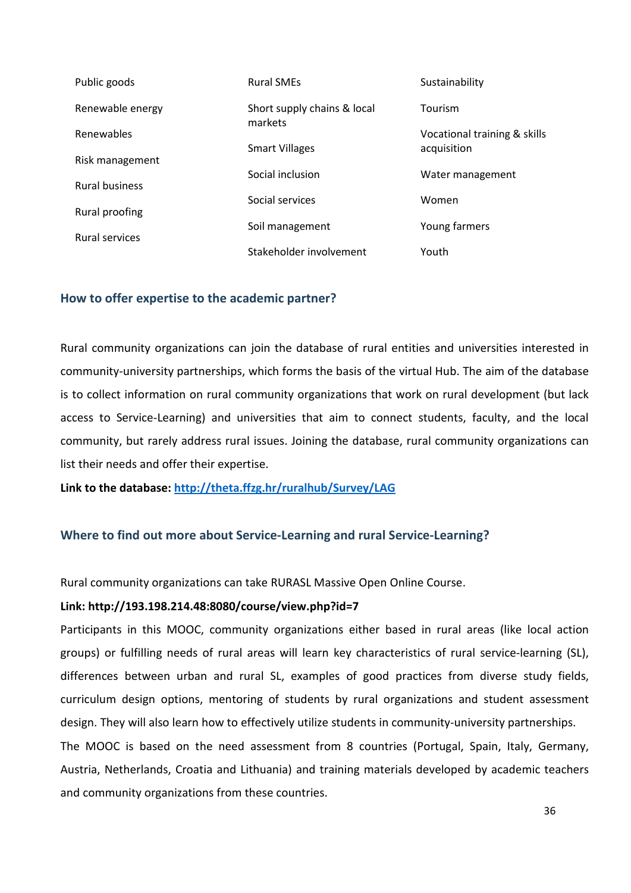| Public goods                            | <b>Rural SMEs</b>           | Sustainability               |
|-----------------------------------------|-----------------------------|------------------------------|
| Renewable energy                        | Short supply chains & local | Tourism                      |
| <b>Renewables</b>                       | markets                     | Vocational training & skills |
| Risk management                         | <b>Smart Villages</b>       | acquisition                  |
| <b>Rural business</b>                   | Social inclusion            | Water management             |
| Rural proofing<br><b>Rural services</b> | Social services             | Women                        |
|                                         | Soil management             | Young farmers                |
|                                         | Stakeholder involvement     | Youth                        |

### <span id="page-35-0"></span>**How to offer expertise to the academic partner?**

Rural community organizations can join the database of rural entities and universities interested in community-university partnerships, which forms the basis of the virtual Hub. The aim of the database is to collect information on rural community organizations that work on rural development (but lack access to Service-Learning) and universities that aim to connect students, faculty, and the local community, but rarely address rural issues. Joining the database, rural community organizations can list their needs and offer their expertise.

**Link to the database: <http://theta.ffzg.hr/ruralhub/Survey/LAG>**

### <span id="page-35-1"></span>**Where to find out more about Service-Learning and rural Service-Learning?**

Rural community organizations can take RURASL Massive Open Online Course.

### **Link: http://193.198.214.48:8080/course/view.php?id=7**

Participants in this MOOC, community organizations either based in rural areas (like local action groups) or fulfilling needs of rural areas will learn key characteristics of rural [service-learning](http://193.198.214.48:8080/mod/hvp/view.php?id=170) (SL), differences between urban and rural SL, examples of good practices from diverse study fields, curriculum design options, mentoring of students by rural organizations and student assessment design. They will also learn how to effectively utilize students in community-university partnerships. The MOOC is based on the need assessment from 8 countries (Portugal, Spain, Italy, Germany, Austria, Netherlands, Croatia and Lithuania) and training materials developed by academic teachers and community organizations from these countries.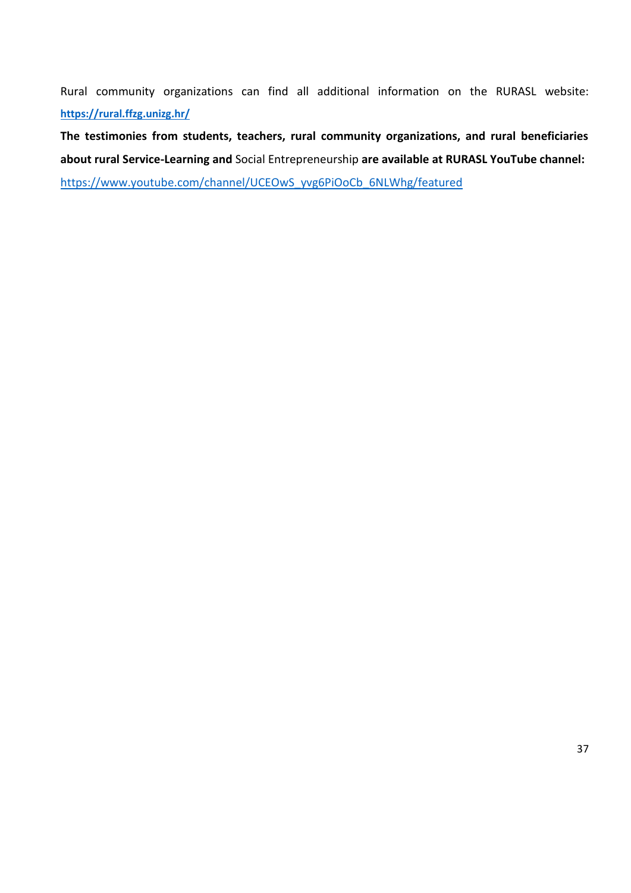Rural community organizations can find all additional information on the RURASL website: **<https://rural.ffzg.unizg.hr/>**

**The testimonies from students, teachers, rural community organizations, and rural beneficiaries about rural Service-Learning and** Social Entrepreneurship **are available at RURASL YouTube channel:**  [https://www.youtube.com/channel/UCEOwS\\_yvg6PiOoCb\\_6NLWhg/featured](https://www.youtube.com/channel/UCEOwS_yvg6PiOoCb_6NLWhg/featured)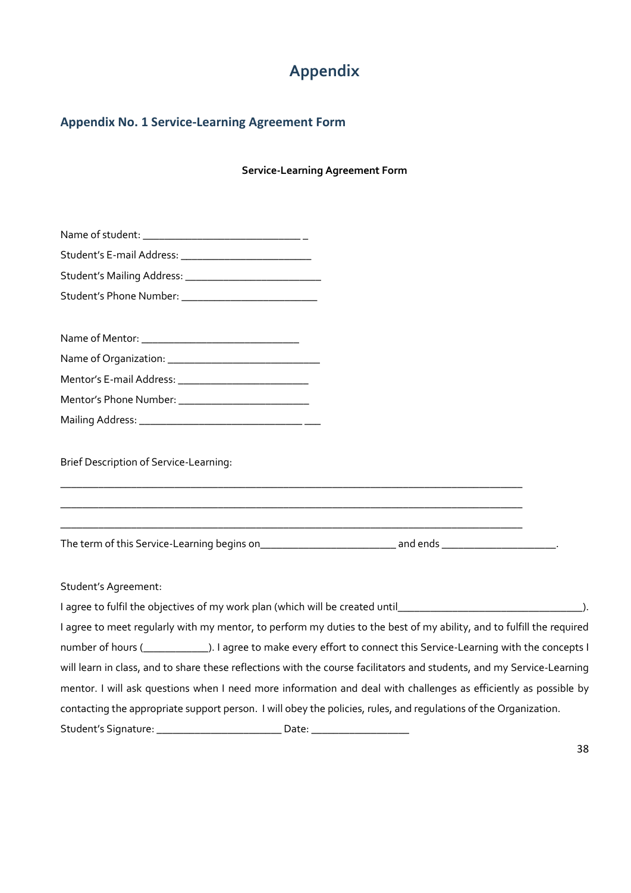# **Appendix**

### <span id="page-37-1"></span><span id="page-37-0"></span>**Appendix No. 1 Service-Learning Agreement Form**

**Service-Learning Agreement Form**

| Student's E-mail Address: ______________________________ |                                                                                                                                                                                                      |  |
|----------------------------------------------------------|------------------------------------------------------------------------------------------------------------------------------------------------------------------------------------------------------|--|
|                                                          |                                                                                                                                                                                                      |  |
| Student's Phone Number: __________________________       |                                                                                                                                                                                                      |  |
|                                                          |                                                                                                                                                                                                      |  |
|                                                          |                                                                                                                                                                                                      |  |
|                                                          |                                                                                                                                                                                                      |  |
|                                                          |                                                                                                                                                                                                      |  |
|                                                          |                                                                                                                                                                                                      |  |
| <b>Brief Description of Service-Learning:</b>            | and the control of the control of the control of the control of the control of the control of the control of the<br>,我们也不能在这里的时候,我们也不能在这里的时候,我们也不能会在这里的时候,我们也不能会在这里的时候,我们也不能会在这里的时候,我们也不能会在这里的时候,我们也 |  |
|                                                          |                                                                                                                                                                                                      |  |
| Student's Agreement:                                     |                                                                                                                                                                                                      |  |
|                                                          |                                                                                                                                                                                                      |  |
|                                                          | I agree to meet regularly with my mentor, to perform my duties to the best of my ability, and to fulfill the required                                                                                |  |
|                                                          | number of hours ( <b>[1974]</b> The agree to make every effort to connect this Service-Learning with the concepts I                                                                                  |  |
|                                                          | will learn in class, and to share these reflections with the course facilitators and students, and my Service-Learning                                                                               |  |
|                                                          | mentor. I will ask questions when I need more information and deal with challenges as efficiently as possible by                                                                                     |  |
|                                                          | contacting the appropriate support person. I will obey the policies, rules, and regulations of the Organization.                                                                                     |  |
|                                                          |                                                                                                                                                                                                      |  |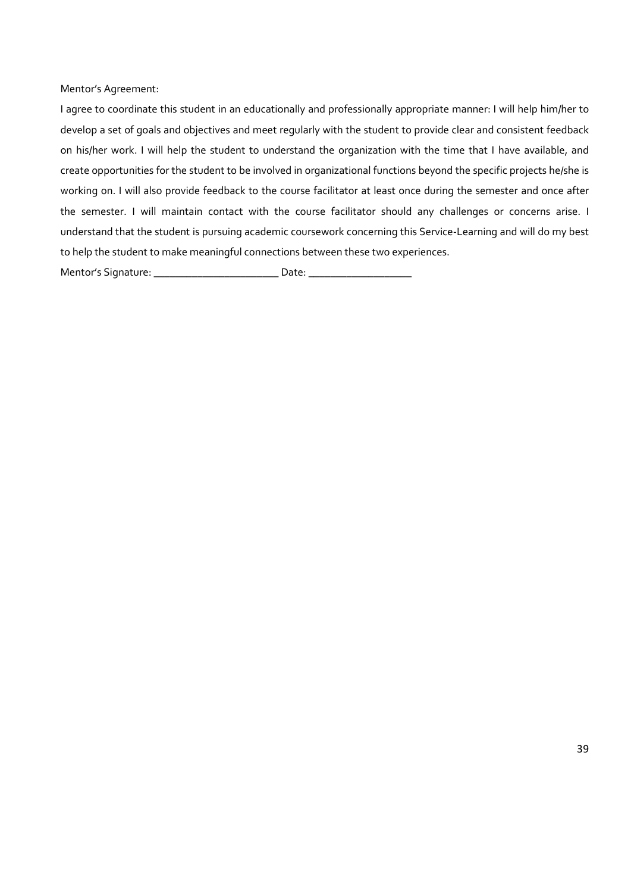Mentor's Agreement:

I agree to coordinate this student in an educationally and professionally appropriate manner: I will help him/her to develop a set of goals and objectives and meet regularly with the student to provide clear and consistent feedback on his/her work. I will help the student to understand the organization with the time that I have available, and create opportunities for the student to be involved in organizational functions beyond the specific projects he/she is working on. I will also provide feedback to the course facilitator at least once during the semester and once after the semester. I will maintain contact with the course facilitator should any challenges or concerns arise. I understand that the student is pursuing academic coursework concerning this Service-Learning and will do my best to help the student to make meaningful connections between these two experiences.

Mentor's Signature: \_\_\_\_\_\_\_\_\_\_\_\_\_\_\_\_\_\_\_\_\_\_\_ Date: \_\_\_\_\_\_\_\_\_\_\_\_\_\_\_\_\_\_\_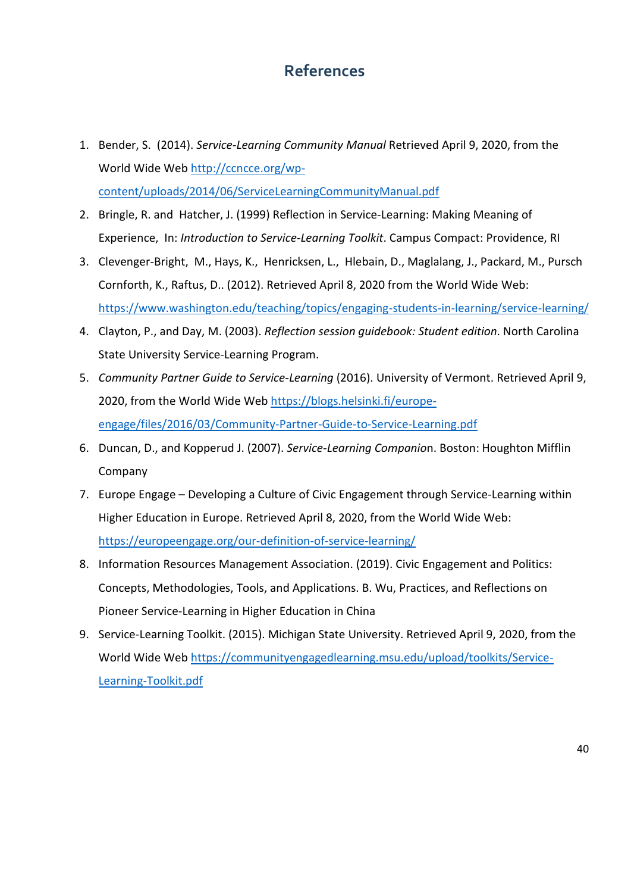## **References**

- <span id="page-39-0"></span>1. Bender, S. (2014). *Service-Learning Community Manual* Retrieved April 9, 2020, from the World Wide Web [http://ccncce.org/wp](http://ccncce.org/wp-content/uploads/2014/06/ServiceLearningCommunityManual.pdf)[content/uploads/2014/06/ServiceLearningCommunityManual.pdf](http://ccncce.org/wp-content/uploads/2014/06/ServiceLearningCommunityManual.pdf)
- 2. Bringle, R. and Hatcher, J. (1999) Reflection in Service-Learning: Making Meaning of Experience, In: *Introduction to Service-Learning Toolkit*. Campus Compact: Providence, RI
- 3. Clevenger-Bright, M., Hays, K., Henricksen, L., Hlebain, D., Maglalang, J., Packard, M., Pursch Cornforth, K., Raftus, D.. (2012). Retrieved April 8, 2020 from the World Wide Web: <https://www.washington.edu/teaching/topics/engaging-students-in-learning/service-learning/>
- 4. Clayton, P., and Day, M. (2003). *Reflection session guidebook: Student edition*. North Carolina State University Service-Learning Program.
- 5. *Community Partner Guide to Service-Learning* (2016). University of Vermont. Retrieved April 9, 2020, from the World Wide Web [https://blogs.helsinki.fi/europe](https://blogs.helsinki.fi/europe-engage/files/2016/03/Community-Partner-Guide-to-Service-Learning.pdf)[engage/files/2016/03/Community-Partner-Guide-to-Service-Learning.pdf](https://blogs.helsinki.fi/europe-engage/files/2016/03/Community-Partner-Guide-to-Service-Learning.pdf)
- 6. Duncan, D., and Kopperud J. (2007). *Service-Learning Companio*n. Boston: Houghton Mifflin Company
- 7. Europe Engage Developing a Culture of Civic Engagement through Service-Learning within Higher Education in Europe. Retrieved April 8, 2020, from the World Wide Web: <https://europeengage.org/our-definition-of-service-learning/>
- 8. Information Resources Management Association. (2019). Civic Engagement and Politics: Concepts, Methodologies, Tools, and Applications. B. Wu, Practices, and Reflections on Pioneer Service-Learning in Higher Education in China
- 9. Service-Learning Toolkit. (2015). Michigan State University. Retrieved April 9, 2020, from the World Wide Web [https://communityengagedlearning.msu.edu/upload/toolkits/Service-](https://communityengagedlearning.msu.edu/upload/toolkits/Service-Learning-Toolkit.pdf)[Learning-Toolkit.pdf](https://communityengagedlearning.msu.edu/upload/toolkits/Service-Learning-Toolkit.pdf)